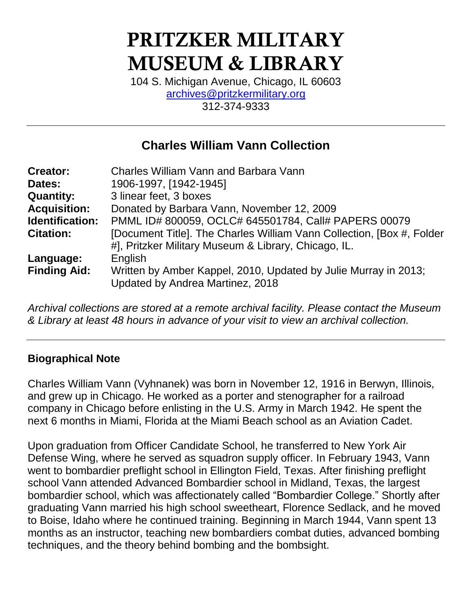# PRITZKER MILITARY MUSEUM & LIBRARY

104 S. Michigan Avenue, Chicago, IL 60603 [archives@pritzkermilitary.org](mailto:archives@pritzkermilitary.org) 312-374-9333

## **Charles William Vann Collection**

| <b>Creator:</b>     | <b>Charles William Vann and Barbara Vann</b>                                                        |
|---------------------|-----------------------------------------------------------------------------------------------------|
| Dates:              | 1906-1997, [1942-1945]                                                                              |
| <b>Quantity:</b>    | 3 linear feet, 3 boxes                                                                              |
| <b>Acquisition:</b> | Donated by Barbara Vann, November 12, 2009                                                          |
| Identification:     | PMML ID# 800059, OCLC# 645501784, Call# PAPERS 00079                                                |
| <b>Citation:</b>    | [Document Title]. The Charles William Vann Collection, [Box #, Folder                               |
|                     | #], Pritzker Military Museum & Library, Chicago, IL.                                                |
| Language:           | English                                                                                             |
| <b>Finding Aid:</b> | Written by Amber Kappel, 2010, Updated by Julie Murray in 2013;<br>Updated by Andrea Martinez, 2018 |

*Archival collections are stored at a remote archival facility. Please contact the Museum & Library at least 48 hours in advance of your visit to view an archival collection.*

#### **Biographical Note**

Charles William Vann (Vyhnanek) was born in November 12, 1916 in Berwyn, Illinois, and grew up in Chicago. He worked as a porter and stenographer for a railroad company in Chicago before enlisting in the U.S. Army in March 1942. He spent the next 6 months in Miami, Florida at the Miami Beach school as an Aviation Cadet.

Upon graduation from Officer Candidate School, he transferred to New York Air Defense Wing, where he served as squadron supply officer. In February 1943, Vann went to bombardier preflight school in Ellington Field, Texas. After finishing preflight school Vann attended Advanced Bombardier school in Midland, Texas, the largest bombardier school, which was affectionately called "Bombardier College." Shortly after graduating Vann married his high school sweetheart, Florence Sedlack, and he moved to Boise, Idaho where he continued training. Beginning in March 1944, Vann spent 13 months as an instructor, teaching new bombardiers combat duties, advanced bombing techniques, and the theory behind bombing and the bombsight.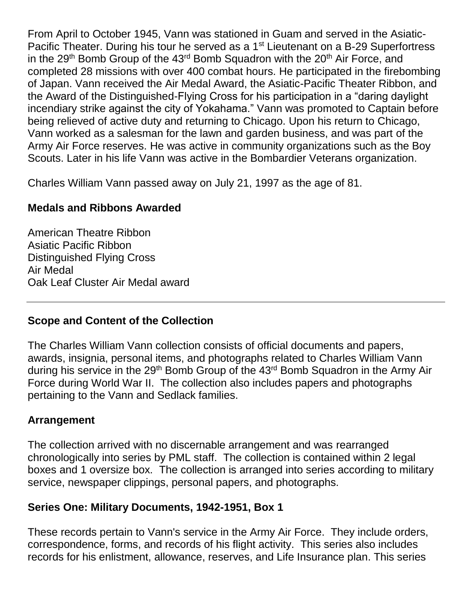From April to October 1945, Vann was stationed in Guam and served in the Asiatic-Pacific Theater. During his tour he served as a 1<sup>st</sup> Lieutenant on a B-29 Superfortress in the  $29<sup>th</sup>$  Bomb Group of the  $43<sup>rd</sup>$  Bomb Squadron with the  $20<sup>th</sup>$  Air Force, and completed 28 missions with over 400 combat hours. He participated in the firebombing of Japan. Vann received the Air Medal Award, the Asiatic-Pacific Theater Ribbon, and the Award of the Distinguished-Flying Cross for his participation in a "daring daylight incendiary strike against the city of Yokahama." Vann was promoted to Captain before being relieved of active duty and returning to Chicago. Upon his return to Chicago, Vann worked as a salesman for the lawn and garden business, and was part of the Army Air Force reserves. He was active in community organizations such as the Boy Scouts. Later in his life Vann was active in the Bombardier Veterans organization.

Charles William Vann passed away on July 21, 1997 as the age of 81.

### **Medals and Ribbons Awarded**

American Theatre Ribbon Asiatic Pacific Ribbon Distinguished Flying Cross Air Medal Oak Leaf Cluster Air Medal award

#### **Scope and Content of the Collection**

The Charles William Vann collection consists of official documents and papers, awards, insignia, personal items, and photographs related to Charles William Vann during his service in the 29<sup>th</sup> Bomb Group of the 43<sup>rd</sup> Bomb Squadron in the Army Air Force during World War II. The collection also includes papers and photographs pertaining to the Vann and Sedlack families.

#### **Arrangement**

The collection arrived with no discernable arrangement and was rearranged chronologically into series by PML staff. The collection is contained within 2 legal boxes and 1 oversize box. The collection is arranged into series according to military service, newspaper clippings, personal papers, and photographs.

#### **Series One: Military Documents, 1942-1951, Box 1**

These records pertain to Vann's service in the Army Air Force. They include orders, correspondence, forms, and records of his flight activity. This series also includes records for his enlistment, allowance, reserves, and Life Insurance plan. This series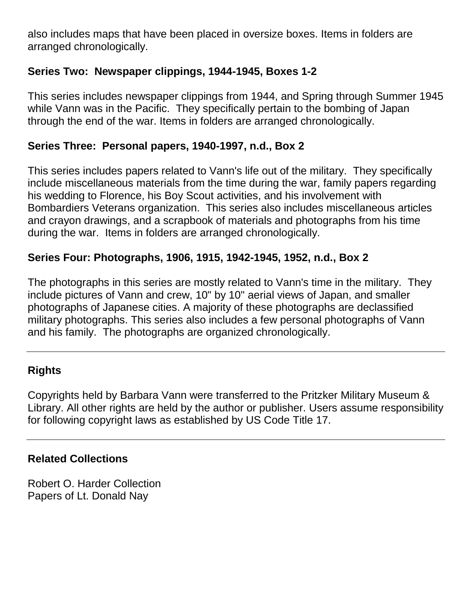also includes maps that have been placed in oversize boxes. Items in folders are arranged chronologically.

### **Series Two: Newspaper clippings, 1944-1945, Boxes 1-2**

This series includes newspaper clippings from 1944, and Spring through Summer 1945 while Vann was in the Pacific. They specifically pertain to the bombing of Japan through the end of the war. Items in folders are arranged chronologically.

#### **Series Three: Personal papers, 1940-1997, n.d., Box 2**

This series includes papers related to Vann's life out of the military. They specifically include miscellaneous materials from the time during the war, family papers regarding his wedding to Florence, his Boy Scout activities, and his involvement with Bombardiers Veterans organization. This series also includes miscellaneous articles and crayon drawings, and a scrapbook of materials and photographs from his time during the war. Items in folders are arranged chronologically.

#### **Series Four: Photographs, 1906, 1915, 1942-1945, 1952, n.d., Box 2**

The photographs in this series are mostly related to Vann's time in the military. They include pictures of Vann and crew, 10" by 10" aerial views of Japan, and smaller photographs of Japanese cities. A majority of these photographs are declassified military photographs. This series also includes a few personal photographs of Vann and his family. The photographs are organized chronologically.

#### **Rights**

Copyrights held by Barbara Vann were transferred to the Pritzker Military Museum & Library. All other rights are held by the author or publisher. Users assume responsibility for following copyright laws as established by US Code Title 17.

#### **Related Collections**

Robert O. Harder Collection Papers of Lt. Donald Nay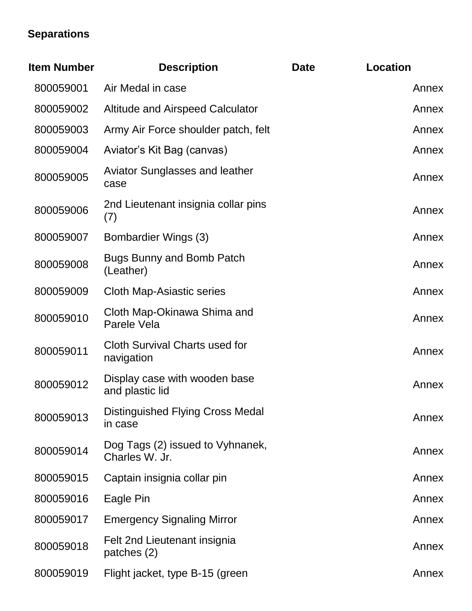# **Separations**

| <b>Item Number</b> | <b>Description</b>                                  | <b>Date</b> | <b>Location</b> |
|--------------------|-----------------------------------------------------|-------------|-----------------|
| 800059001          | Air Medal in case                                   |             | Annex           |
| 800059002          | <b>Altitude and Airspeed Calculator</b>             |             | Annex           |
| 800059003          | Army Air Force shoulder patch, felt                 |             | Annex           |
| 800059004          | Aviator's Kit Bag (canvas)                          |             | Annex           |
| 800059005          | <b>Aviator Sunglasses and leather</b><br>case       |             | Annex           |
| 800059006          | 2nd Lieutenant insignia collar pins<br>(7)          |             | Annex           |
| 800059007          | Bombardier Wings (3)                                |             | Annex           |
| 800059008          | <b>Bugs Bunny and Bomb Patch</b><br>(Leather)       |             | Annex           |
| 800059009          | <b>Cloth Map-Asiastic series</b>                    |             | Annex           |
| 800059010          | Cloth Map-Okinawa Shima and<br>Parele Vela          |             | Annex           |
| 800059011          | <b>Cloth Survival Charts used for</b><br>navigation |             | Annex           |
| 800059012          | Display case with wooden base<br>and plastic lid    |             | Annex           |
| 800059013          | <b>Distinguished Flying Cross Medal</b><br>in case  |             | Annex           |
| 800059014          | Dog Tags (2) issued to Vyhnanek,<br>Charles W. Jr.  |             | Annex           |
| 800059015          | Captain insignia collar pin                         |             | Annex           |
| 800059016          | Eagle Pin                                           |             | Annex           |
| 800059017          | <b>Emergency Signaling Mirror</b>                   |             | Annex           |
| 800059018          | Felt 2nd Lieutenant insignia<br>patches (2)         |             | Annex           |
| 800059019          | Flight jacket, type B-15 (green                     |             | Annex           |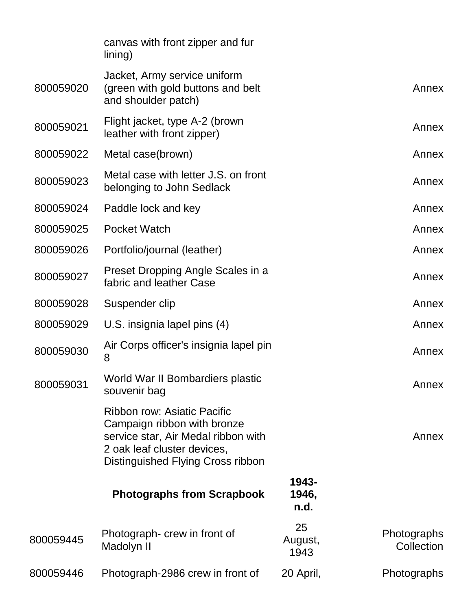|           | canvas with front zipper and fur<br>lining)                                                                                                                           |                        |                           |
|-----------|-----------------------------------------------------------------------------------------------------------------------------------------------------------------------|------------------------|---------------------------|
| 800059020 | Jacket, Army service uniform<br>(green with gold buttons and belt<br>and shoulder patch)                                                                              |                        | Annex                     |
| 800059021 | Flight jacket, type A-2 (brown<br>leather with front zipper)                                                                                                          |                        | Annex                     |
| 800059022 | Metal case(brown)                                                                                                                                                     |                        | Annex                     |
| 800059023 | Metal case with letter J.S. on front<br>belonging to John Sedlack                                                                                                     |                        | Annex                     |
| 800059024 | Paddle lock and key                                                                                                                                                   |                        | Annex                     |
| 800059025 | <b>Pocket Watch</b>                                                                                                                                                   |                        | Annex                     |
| 800059026 | Portfolio/journal (leather)                                                                                                                                           |                        | Annex                     |
| 800059027 | Preset Dropping Angle Scales in a<br>fabric and leather Case                                                                                                          |                        | Annex                     |
| 800059028 | Suspender clip                                                                                                                                                        |                        | Annex                     |
| 800059029 | U.S. insignia lapel pins (4)                                                                                                                                          |                        | Annex                     |
| 800059030 | Air Corps officer's insignia lapel pin<br>8                                                                                                                           |                        | Annex                     |
| 800059031 | World War II Bombardiers plastic<br>souvenir bag                                                                                                                      |                        | Annex                     |
|           | Ribbon row: Asiatic Pacific<br>Campaign ribbon with bronze<br>service star, Air Medal ribbon with<br>2 oak leaf cluster devices,<br>Distinguished Flying Cross ribbon |                        | Annex                     |
|           | <b>Photographs from Scrapbook</b>                                                                                                                                     | 1943-<br>1946,<br>n.d. |                           |
| 800059445 | Photograph- crew in front of<br>Madolyn II                                                                                                                            | 25<br>August,<br>1943  | Photographs<br>Collection |
| 800059446 | Photograph-2986 crew in front of                                                                                                                                      | 20 April,              | Photographs               |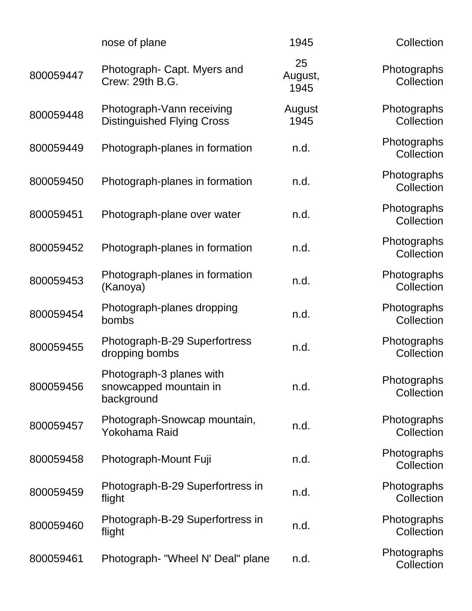|           | nose of plane                                                    | 1945                  | Collection                |
|-----------|------------------------------------------------------------------|-----------------------|---------------------------|
| 800059447 | Photograph- Capt. Myers and<br>Crew: 29th B.G.                   | 25<br>August,<br>1945 | Photographs<br>Collection |
| 800059448 | Photograph-Vann receiving<br><b>Distinguished Flying Cross</b>   | August<br>1945        | Photographs<br>Collection |
| 800059449 | Photograph-planes in formation                                   | n.d.                  | Photographs<br>Collection |
| 800059450 | Photograph-planes in formation                                   | n.d.                  | Photographs<br>Collection |
| 800059451 | Photograph-plane over water                                      | n.d.                  | Photographs<br>Collection |
| 800059452 | Photograph-planes in formation                                   | n.d.                  | Photographs<br>Collection |
| 800059453 | Photograph-planes in formation<br>(Kanoya)                       | n.d.                  | Photographs<br>Collection |
| 800059454 | Photograph-planes dropping<br>bombs                              | n.d.                  | Photographs<br>Collection |
| 800059455 | Photograph-B-29 Superfortress<br>dropping bombs                  | n.d.                  | Photographs<br>Collection |
| 800059456 | Photograph-3 planes with<br>snowcapped mountain in<br>background | n.d.                  | Photographs<br>Collection |
| 800059457 | Photograph-Snowcap mountain,<br>Yokohama Raid                    | n.d.                  | Photographs<br>Collection |
| 800059458 | Photograph-Mount Fuji                                            | n.d.                  | Photographs<br>Collection |
| 800059459 | Photograph-B-29 Superfortress in<br>flight                       | n.d.                  | Photographs<br>Collection |
| 800059460 | Photograph-B-29 Superfortress in<br>flight                       | n.d.                  | Photographs<br>Collection |
| 800059461 | Photograph- "Wheel N' Deal" plane                                | n.d.                  | Photographs<br>Collection |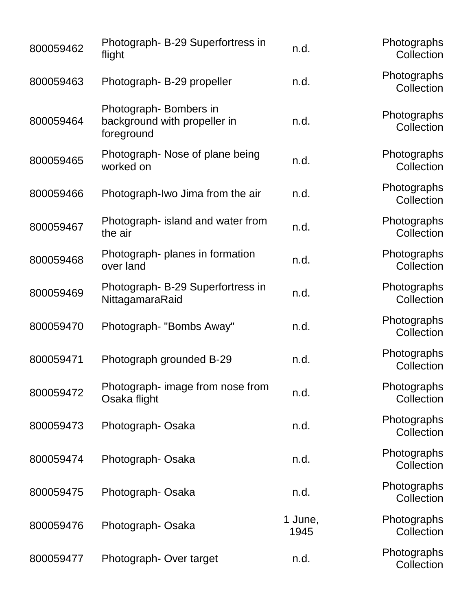| 800059462 | Photograph- B-29 Superfortress in<br>flight                         | n.d.            | Photographs<br>Collection |
|-----------|---------------------------------------------------------------------|-----------------|---------------------------|
| 800059463 | Photograph-B-29 propeller                                           | n.d.            | Photographs<br>Collection |
| 800059464 | Photograph-Bombers in<br>background with propeller in<br>foreground | n.d.            | Photographs<br>Collection |
| 800059465 | Photograph-Nose of plane being<br>worked on                         | n.d.            | Photographs<br>Collection |
| 800059466 | Photograph-Iwo Jima from the air                                    | n.d.            | Photographs<br>Collection |
| 800059467 | Photograph- island and water from<br>the air                        | n.d.            | Photographs<br>Collection |
| 800059468 | Photograph- planes in formation<br>over land                        | n.d.            | Photographs<br>Collection |
| 800059469 | Photograph- B-29 Superfortress in<br>NittagamaraRaid                | n.d.            | Photographs<br>Collection |
| 800059470 | Photograph- "Bombs Away"                                            | n.d.            | Photographs<br>Collection |
| 800059471 | Photograph grounded B-29                                            | n.d.            | Photographs<br>Collection |
| 800059472 | Photograph- image from nose from<br>Osaka flight                    | n.d.            | Photographs<br>Collection |
| 800059473 | Photograph-Osaka                                                    | n.d.            | Photographs<br>Collection |
| 800059474 | Photograph-Osaka                                                    | n.d.            | Photographs<br>Collection |
| 800059475 | Photograph-Osaka                                                    | n.d.            | Photographs<br>Collection |
| 800059476 | Photograph-Osaka                                                    | 1 June,<br>1945 | Photographs<br>Collection |
| 800059477 | Photograph-Over target                                              | n.d.            | Photographs<br>Collection |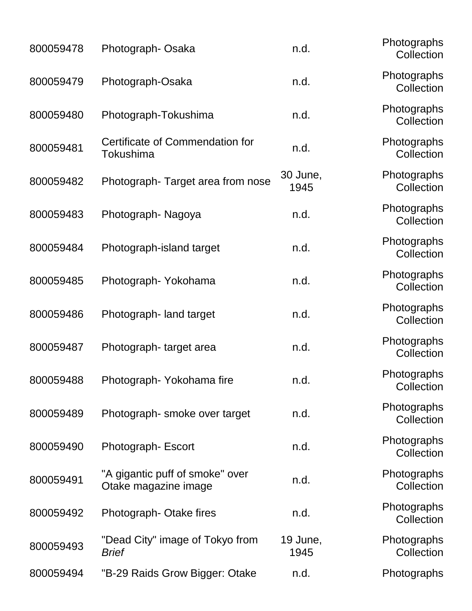| 800059478 | Photograph-Osaka                                        | n.d.             | Photographs<br>Collection |
|-----------|---------------------------------------------------------|------------------|---------------------------|
| 800059479 | Photograph-Osaka                                        | n.d.             | Photographs<br>Collection |
| 800059480 | Photograph-Tokushima                                    | n.d.             | Photographs<br>Collection |
| 800059481 | Certificate of Commendation for<br>Tokushima            | n.d.             | Photographs<br>Collection |
| 800059482 | Photograph-Target area from nose                        | 30 June,<br>1945 | Photographs<br>Collection |
| 800059483 | Photograph-Nagoya                                       | n.d.             | Photographs<br>Collection |
| 800059484 | Photograph-island target                                | n.d.             | Photographs<br>Collection |
| 800059485 | Photograph-Yokohama                                     | n.d.             | Photographs<br>Collection |
| 800059486 | Photograph- land target                                 | n.d.             | Photographs<br>Collection |
| 800059487 | Photograph-target area                                  | n.d.             | Photographs<br>Collection |
| 800059488 | Photograph-Yokohama fire                                | n.d              | Photographs<br>Collection |
| 800059489 | Photograph-smoke over target                            | n.d.             | Photographs<br>Collection |
| 800059490 | Photograph-Escort                                       | n.d.             | Photographs<br>Collection |
| 800059491 | "A gigantic puff of smoke" over<br>Otake magazine image | n.d.             | Photographs<br>Collection |
| 800059492 | Photograph-Otake fires                                  | n.d.             | Photographs<br>Collection |
| 800059493 | "Dead City" image of Tokyo from<br><b>Brief</b>         | 19 June,<br>1945 | Photographs<br>Collection |
| 800059494 | "B-29 Raids Grow Bigger: Otake                          | n.d.             | Photographs               |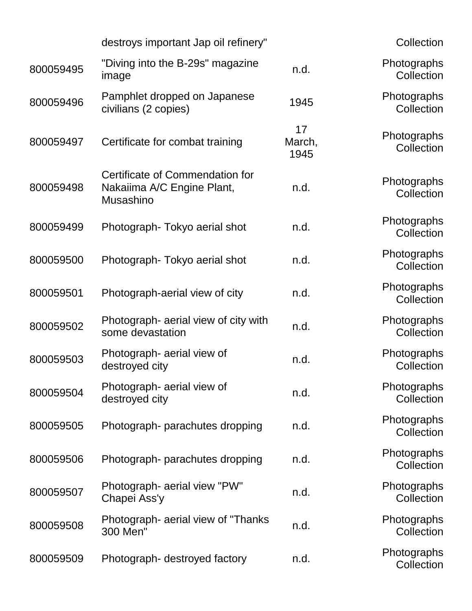|           | destroys important Jap oil refinery"                                       |                      | Collection                |
|-----------|----------------------------------------------------------------------------|----------------------|---------------------------|
|           |                                                                            |                      |                           |
| 800059495 | "Diving into the B-29s" magazine<br>image                                  | n.d.                 | Photographs<br>Collection |
| 800059496 | Pamphlet dropped on Japanese<br>civilians (2 copies)                       | 1945                 | Photographs<br>Collection |
| 800059497 | Certificate for combat training                                            | 17<br>March,<br>1945 | Photographs<br>Collection |
| 800059498 | Certificate of Commendation for<br>Nakaiima A/C Engine Plant,<br>Musashino | n.d.                 | Photographs<br>Collection |
| 800059499 | Photograph-Tokyo aerial shot                                               | n.d.                 | Photographs<br>Collection |
| 800059500 | Photograph-Tokyo aerial shot                                               | n.d.                 | Photographs<br>Collection |
| 800059501 | Photograph-aerial view of city                                             | n.d.                 | Photographs<br>Collection |
| 800059502 | Photograph- aerial view of city with<br>some devastation                   | n.d.                 | Photographs<br>Collection |
| 800059503 | Photograph- aerial view of<br>destroyed city                               | n.d.                 | Photographs<br>Collection |
| 800059504 | Photograph- aerial view of<br>destroyed city                               | n.d.                 | Photographs<br>Collection |
| 800059505 | Photograph- parachutes dropping                                            | n.d.                 | Photographs<br>Collection |
| 800059506 | Photograph- parachutes dropping                                            | n.d.                 | Photographs<br>Collection |
| 800059507 | Photograph- aerial view "PW"<br>Chapei Ass'y                               | n.d.                 | Photographs<br>Collection |
| 800059508 | Photograph- aerial view of "Thanks"<br>300 Men"                            | n.d.                 | Photographs<br>Collection |
| 800059509 | Photograph- destroyed factory                                              | n.d.                 | Photographs<br>Collection |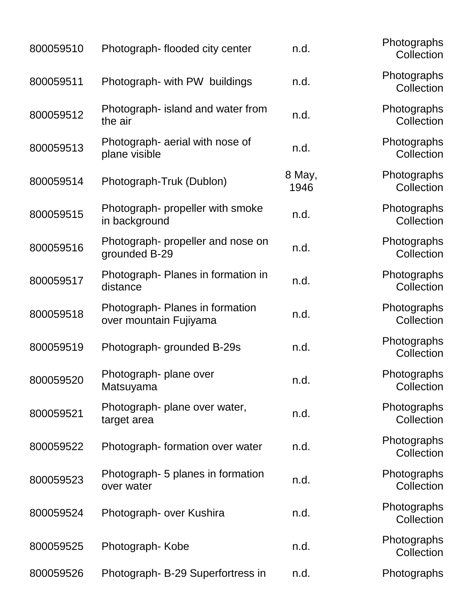| 800059510 | Photograph-flooded city center                           | n.d.           | Photographs<br>Collection |
|-----------|----------------------------------------------------------|----------------|---------------------------|
| 800059511 | Photograph- with PW buildings                            | n.d.           | Photographs<br>Collection |
| 800059512 | Photograph- island and water from<br>the air             | n.d.           | Photographs<br>Collection |
| 800059513 | Photograph- aerial with nose of<br>plane visible         | n.d.           | Photographs<br>Collection |
| 800059514 | Photograph-Truk (Dublon)                                 | 8 May,<br>1946 | Photographs<br>Collection |
| 800059515 | Photograph- propeller with smoke<br>in background        | n.d.           | Photographs<br>Collection |
| 800059516 | Photograph- propeller and nose on<br>grounded B-29       | n.d.           | Photographs<br>Collection |
| 800059517 | Photograph- Planes in formation in<br>distance           | n.d.           | Photographs<br>Collection |
| 800059518 | Photograph-Planes in formation<br>over mountain Fujiyama | n.d.           | Photographs<br>Collection |
| 800059519 | Photograph-grounded B-29s                                | n.d.           | Photographs<br>Collection |
| 800059520 | Photograph- plane over<br>Matsuyama                      | n.d.           | Photographs<br>Collection |
| 800059521 | Photograph- plane over water,<br>target area             | n.d.           | Photographs<br>Collection |
| 800059522 | Photograph-formation over water                          | n.d.           | Photographs<br>Collection |
| 800059523 | Photograph- 5 planes in formation<br>over water          | n.d.           | Photographs<br>Collection |
| 800059524 | Photograph- over Kushira                                 | n.d.           | Photographs<br>Collection |
| 800059525 | Photograph-Kobe                                          | n.d.           | Photographs<br>Collection |
| 800059526 | Photograph- B-29 Superfortress in                        | n.d.           | Photographs               |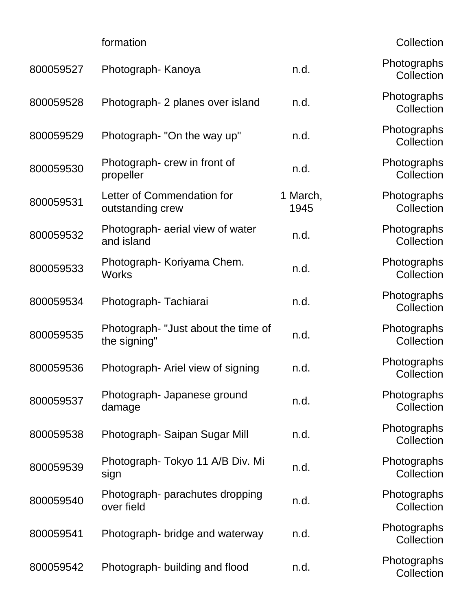| formation |  |
|-----------|--|
|           |  |
|           |  |
|           |  |

Collection

| 800059527 | Photograph- Kanoya                                 | n.d.             | Photographs<br>Collection |
|-----------|----------------------------------------------------|------------------|---------------------------|
| 800059528 | Photograph- 2 planes over island                   | n.d.             | Photographs<br>Collection |
| 800059529 | Photograph- "On the way up"                        | n.d.             | Photographs<br>Collection |
| 800059530 | Photograph- crew in front of<br>propeller          | n.d.             | Photographs<br>Collection |
| 800059531 | Letter of Commendation for<br>outstanding crew     | 1 March,<br>1945 | Photographs<br>Collection |
| 800059532 | Photograph- aerial view of water<br>and island     | n.d.             | Photographs<br>Collection |
| 800059533 | Photograph- Koriyama Chem.<br><b>Works</b>         | n.d.             | Photographs<br>Collection |
| 800059534 | Photograph-Tachiarai                               | n.d.             | Photographs<br>Collection |
| 800059535 | Photograph-"Just about the time of<br>the signing" | n.d.             | Photographs<br>Collection |
| 800059536 | Photograph-Ariel view of signing                   | n.d.             | Photographs<br>Collection |
| 800059537 | Photograph- Japanese ground<br>damage              | n.d.             | Photographs<br>Collection |
| 800059538 | Photograph- Saipan Sugar Mill                      | n.d.             | Photographs<br>Collection |
| 800059539 | Photograph- Tokyo 11 A/B Div. Mi<br>sign           | n.d.             | Photographs<br>Collection |
| 800059540 | Photograph- parachutes dropping<br>over field      | n.d.             | Photographs<br>Collection |
| 800059541 | Photograph- bridge and waterway                    | n.d.             | Photographs<br>Collection |
| 800059542 | Photograph- building and flood                     | n.d.             | Photographs<br>Collection |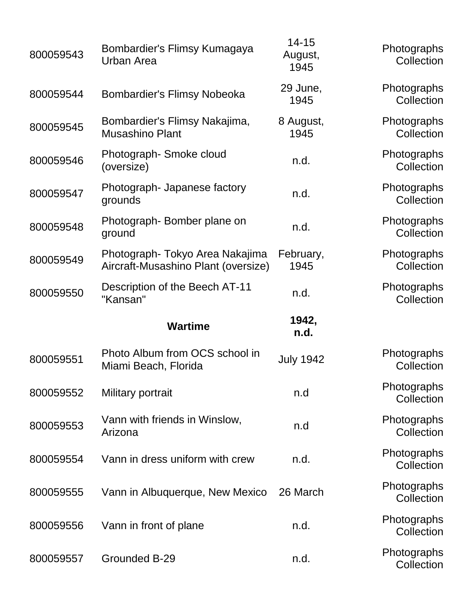| 800059543 | Bombardier's Flimsy Kumagaya<br>Urban Area                            | $14 - 15$<br>August,<br>1945 | Photographs<br>Collection |
|-----------|-----------------------------------------------------------------------|------------------------------|---------------------------|
| 800059544 | <b>Bombardier's Flimsy Nobeoka</b>                                    | 29 June,<br>1945             | Photographs<br>Collection |
| 800059545 | Bombardier's Flimsy Nakajima,<br><b>Musashino Plant</b>               | 8 August,<br>1945            | Photographs<br>Collection |
| 800059546 | Photograph-Smoke cloud<br>(oversize)                                  | n.d.                         | Photographs<br>Collection |
| 800059547 | Photograph- Japanese factory<br>grounds                               | n.d.                         | Photographs<br>Collection |
| 800059548 | Photograph-Bomber plane on<br>ground                                  | n.d.                         | Photographs<br>Collection |
| 800059549 | Photograph-Tokyo Area Nakajima<br>Aircraft-Musashino Plant (oversize) | February,<br>1945            | Photographs<br>Collection |
| 800059550 | Description of the Beech AT-11<br>"Kansan"                            | n.d.                         | Photographs<br>Collection |
|           |                                                                       |                              |                           |
|           | <b>Wartime</b>                                                        | 1942,<br>n.d.                |                           |
| 800059551 | Photo Album from OCS school in<br>Miami Beach, Florida                | <b>July 1942</b>             | Photographs<br>Collection |
| 800059552 | Military portrait                                                     | n.d                          | Photographs<br>Collection |
| 800059553 | Vann with friends in Winslow,<br>Arizona                              | n.d                          | Photographs<br>Collection |
| 800059554 | Vann in dress uniform with crew                                       | n.d.                         | Photographs<br>Collection |
| 800059555 | Vann in Albuquerque, New Mexico                                       | 26 March                     | Photographs<br>Collection |
| 800059556 | Vann in front of plane                                                | n.d.                         | Photographs<br>Collection |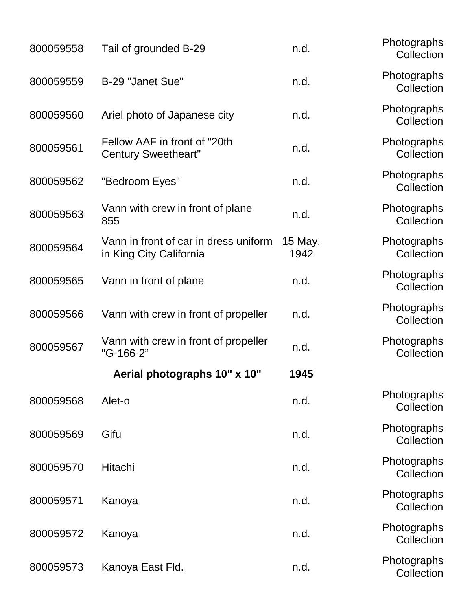| 800059558 | Tail of grounded B-29                                            | n.d.            | Photographs<br>Collection |
|-----------|------------------------------------------------------------------|-----------------|---------------------------|
| 800059559 | B-29 "Janet Sue"                                                 | n.d.            | Photographs<br>Collection |
| 800059560 | Ariel photo of Japanese city                                     | n.d.            | Photographs<br>Collection |
| 800059561 | Fellow AAF in front of "20th<br><b>Century Sweetheart"</b>       | n.d.            | Photographs<br>Collection |
| 800059562 | "Bedroom Eyes"                                                   | n.d.            | Photographs<br>Collection |
| 800059563 | Vann with crew in front of plane<br>855                          | n.d.            | Photographs<br>Collection |
| 800059564 | Vann in front of car in dress uniform<br>in King City California | 15 May,<br>1942 | Photographs<br>Collection |
| 800059565 | Vann in front of plane                                           | n.d.            | Photographs<br>Collection |
| 800059566 | Vann with crew in front of propeller                             | n.d.            | Photographs<br>Collection |
| 800059567 | Vann with crew in front of propeller<br>"G-166-2"                | n.d.            | Photographs<br>Collection |
|           | Aerial photographs 10" x 10"                                     | 1945            |                           |
| 800059568 | Alet-o                                                           | n.d.            | Photographs<br>Collection |
| 800059569 | Gifu                                                             | n.d.            | Photographs<br>Collection |
| 800059570 | Hitachi                                                          | n.d.            | Photographs<br>Collection |
| 800059571 | Kanoya                                                           | n.d.            | Photographs<br>Collection |
| 800059572 | Kanoya                                                           | n.d.            | Photographs<br>Collection |
| 800059573 | Kanoya East Fld.                                                 | n.d.            | Photographs<br>Collection |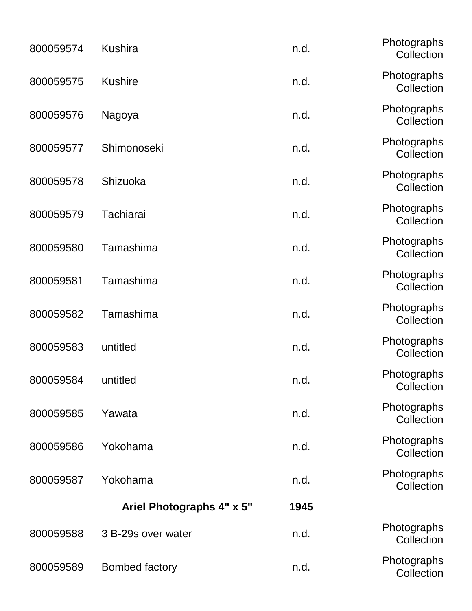| 800059574 | <b>Kushira</b>            | n.d. | Photographs<br>Collection |
|-----------|---------------------------|------|---------------------------|
| 800059575 | <b>Kushire</b>            | n.d. | Photographs<br>Collection |
| 800059576 | Nagoya                    | n.d. | Photographs<br>Collection |
| 800059577 | Shimonoseki               | n.d. | Photographs<br>Collection |
| 800059578 | Shizuoka                  | n.d. | Photographs<br>Collection |
| 800059579 | Tachiarai                 | n.d. | Photographs<br>Collection |
| 800059580 | Tamashima                 | n.d. | Photographs<br>Collection |
| 800059581 | Tamashima                 | n.d. | Photographs<br>Collection |
| 800059582 | Tamashima                 | n.d. | Photographs<br>Collection |
| 800059583 | untitled                  | n.d. | Photographs<br>Collection |
| 800059584 | untitled                  | n.d. | Photographs<br>Collection |
| 800059585 | Yawata                    | n.d. | Photographs<br>Collection |
| 800059586 | Yokohama                  | n.d. | Photographs<br>Collection |
| 800059587 | Yokohama                  | n.d. | Photographs<br>Collection |
|           | Ariel Photographs 4" x 5" | 1945 |                           |
| 800059588 | 3 B-29s over water        | n.d. | Photographs<br>Collection |
| 800059589 | <b>Bombed factory</b>     | n.d. | Photographs<br>Collection |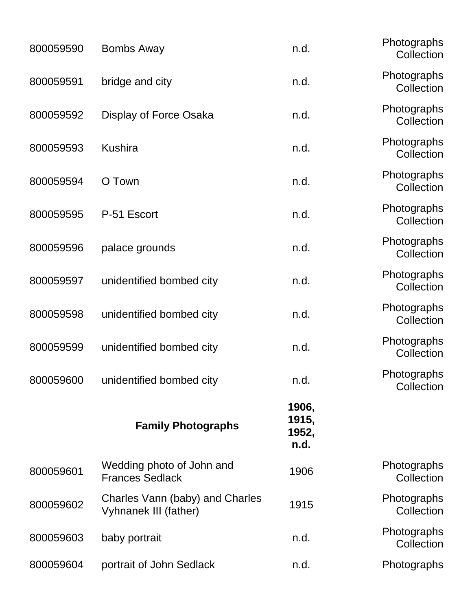| 800059590 | <b>Bombs Away</b>                                        | n.d.                            | Photographs<br>Collection |
|-----------|----------------------------------------------------------|---------------------------------|---------------------------|
| 800059591 | bridge and city                                          | n.d.                            | Photographs<br>Collection |
| 800059592 | Display of Force Osaka                                   | n.d.                            | Photographs<br>Collection |
| 800059593 | <b>Kushira</b>                                           | n.d.                            | Photographs<br>Collection |
| 800059594 | O Town                                                   | n.d.                            | Photographs<br>Collection |
| 800059595 | P-51 Escort                                              | n.d.                            | Photographs<br>Collection |
| 800059596 | palace grounds                                           | n.d.                            | Photographs<br>Collection |
| 800059597 | unidentified bombed city                                 | n.d.                            | Photographs<br>Collection |
| 800059598 | unidentified bombed city                                 | n.d.                            | Photographs<br>Collection |
| 800059599 | unidentified bombed city                                 | n.d.                            | Photographs<br>Collection |
| 800059600 | unidentified bombed city                                 | n.d                             | Photographs<br>Collection |
|           | <b>Family Photographs</b>                                | 1906,<br>1915,<br>1952,<br>n.d. |                           |
| 800059601 | Wedding photo of John and<br><b>Frances Sedlack</b>      | 1906                            | Photographs<br>Collection |
| 800059602 | Charles Vann (baby) and Charles<br>Vyhnanek III (father) | 1915                            | Photographs<br>Collection |
| 800059603 | baby portrait                                            | n.d.                            | Photographs<br>Collection |
| 800059604 | portrait of John Sedlack                                 | n.d.                            | Photographs               |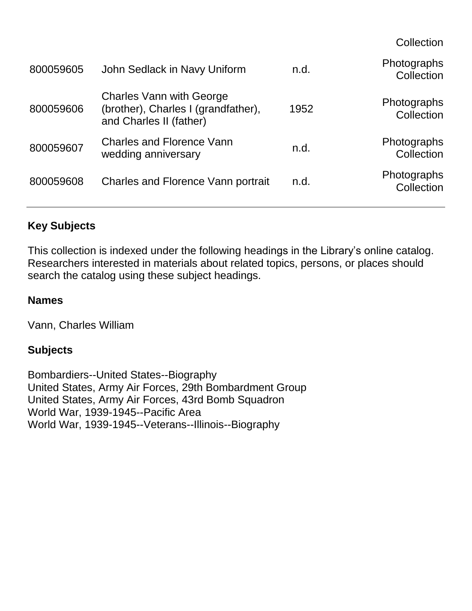**Collection** 

| John Sedlack in Navy Uniform                                                                      | n.d. | Photographs<br>Collection |
|---------------------------------------------------------------------------------------------------|------|---------------------------|
| <b>Charles Vann with George</b><br>(brother), Charles I (grandfather),<br>and Charles II (father) | 1952 | Photographs<br>Collection |
| <b>Charles and Florence Vann</b><br>wedding anniversary                                           | n.d. | Photographs<br>Collection |
| <b>Charles and Florence Vann portrait</b>                                                         | n.d. | Photographs<br>Collection |
|                                                                                                   |      |                           |

### **Key Subjects**

This collection is indexed under the following headings in the Library's online catalog. Researchers interested in materials about related topics, persons, or places should search the catalog using these subject headings.

#### **Names**

Vann, Charles William

#### **Subjects**

Bombardiers--United States--Biography United States, Army Air Forces, 29th Bombardment Group United States, Army Air Forces, 43rd Bomb Squadron World War, 1939-1945--Pacific Area World War, 1939-1945--Veterans--Illinois--Biography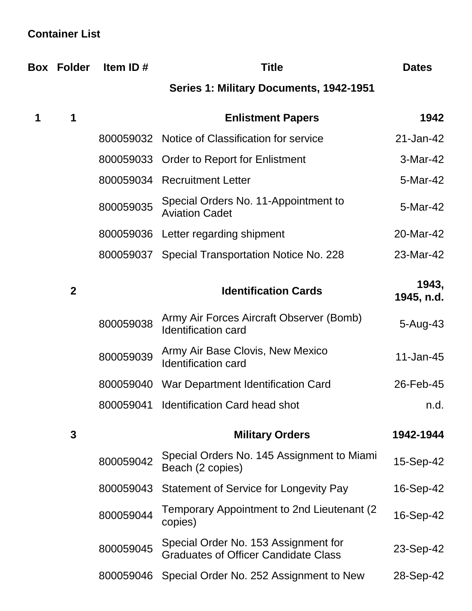## **Container List**

|   | <b>Box Folder</b> | Item ID#  | <b>Title</b>                                                                        | <b>Dates</b>        |
|---|-------------------|-----------|-------------------------------------------------------------------------------------|---------------------|
|   |                   |           | Series 1: Military Documents, 1942-1951                                             |                     |
| 1 | 1                 |           | <b>Enlistment Papers</b>                                                            | 1942                |
|   |                   |           | 800059032 Notice of Classification for service                                      | 21-Jan-42           |
|   |                   |           | 800059033 Order to Report for Enlistment                                            | 3-Mar-42            |
|   |                   |           | 800059034 Recruitment Letter                                                        | 5-Mar-42            |
|   |                   | 800059035 | Special Orders No. 11-Appointment to<br><b>Aviation Cadet</b>                       | 5-Mar-42            |
|   |                   |           | 800059036 Letter regarding shipment                                                 | 20-Mar-42           |
|   |                   |           | 800059037 Special Transportation Notice No. 228                                     | 23-Mar-42           |
|   | $\mathbf{2}$      |           | <b>Identification Cards</b>                                                         | 1943,<br>1945, n.d. |
|   |                   | 800059038 | Army Air Forces Aircraft Observer (Bomb)<br><b>Identification card</b>              | $5 - Aug-43$        |
|   |                   | 800059039 | Army Air Base Clovis, New Mexico<br><b>Identification card</b>                      | 11-Jan-45           |
|   |                   | 800059040 | War Department Identification Card                                                  | 26-Feb-45           |
|   |                   | 800059041 | <b>Identification Card head shot</b>                                                | n.d.                |
|   | 3                 |           | <b>Military Orders</b>                                                              | 1942-1944           |
|   |                   | 800059042 | Special Orders No. 145 Assignment to Miami<br>Beach (2 copies)                      | 15-Sep-42           |
|   |                   | 800059043 | Statement of Service for Longevity Pay                                              | 16-Sep-42           |
|   |                   | 800059044 | Temporary Appointment to 2nd Lieutenant (2)<br>copies)                              | 16-Sep-42           |
|   |                   | 800059045 | Special Order No. 153 Assignment for<br><b>Graduates of Officer Candidate Class</b> | 23-Sep-42           |
|   |                   | 800059046 | Special Order No. 252 Assignment to New                                             | 28-Sep-42           |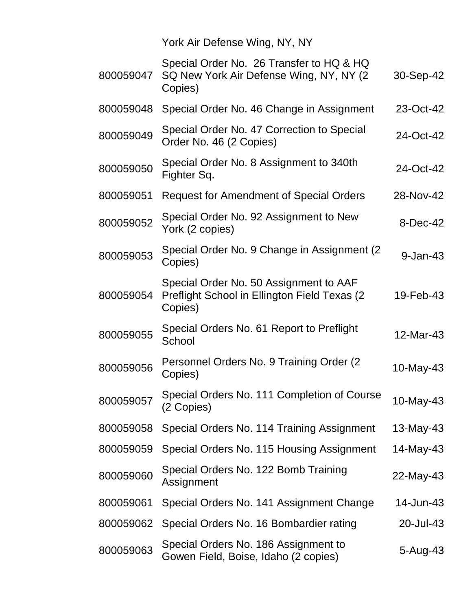York Air Defense Wing, NY, NY

| 800059047 | Special Order No. 26 Transfer to HQ & HQ<br>SQ New York Air Defense Wing, NY, NY (2)<br>Copies)    | 30-Sep-42    |
|-----------|----------------------------------------------------------------------------------------------------|--------------|
| 800059048 | Special Order No. 46 Change in Assignment                                                          | 23-Oct-42    |
| 800059049 | Special Order No. 47 Correction to Special<br>Order No. 46 (2 Copies)                              | 24-Oct-42    |
| 800059050 | Special Order No. 8 Assignment to 340th<br>Fighter Sq.                                             | 24-Oct-42    |
| 800059051 | <b>Request for Amendment of Special Orders</b>                                                     | 28-Nov-42    |
| 800059052 | Special Order No. 92 Assignment to New<br>York (2 copies)                                          | 8-Dec-42     |
| 800059053 | Special Order No. 9 Change in Assignment (2)<br>Copies)                                            | $9 - Jan-43$ |
| 800059054 | Special Order No. 50 Assignment to AAF<br>Preflight School in Ellington Field Texas (2)<br>Copies) | 19-Feb-43    |
| 800059055 | Special Orders No. 61 Report to Preflight<br>School                                                | 12-Mar-43    |
| 800059056 | Personnel Orders No. 9 Training Order (2)<br>Copies)                                               | 10-May-43    |
| 800059057 | Special Orders No. 111 Completion of Course<br>(2 Copies)                                          | 10-May-43    |
| 800059058 | Special Orders No. 114 Training Assignment                                                         | 13-May-43    |
| 800059059 | Special Orders No. 115 Housing Assignment                                                          | 14-May-43    |
| 800059060 | Special Orders No. 122 Bomb Training<br>Assignment                                                 | 22-May-43    |
| 800059061 | Special Orders No. 141 Assignment Change                                                           | 14-Jun-43    |
| 800059062 | Special Orders No. 16 Bombardier rating                                                            | 20-Jul-43    |
| 800059063 | Special Orders No. 186 Assignment to<br>Gowen Field, Boise, Idaho (2 copies)                       | 5-Aug-43     |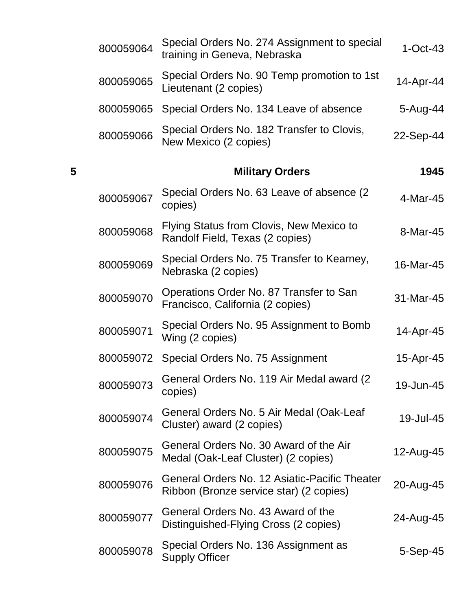|   | 800059064 | Special Orders No. 274 Assignment to special<br>training in Geneva, Nebraska             | $1-Oct-43$     |
|---|-----------|------------------------------------------------------------------------------------------|----------------|
|   | 800059065 | Special Orders No. 90 Temp promotion to 1st<br>Lieutenant (2 copies)                     | 14-Apr-44      |
|   | 800059065 | Special Orders No. 134 Leave of absence                                                  | 5-Aug-44       |
|   | 800059066 | Special Orders No. 182 Transfer to Clovis,<br>New Mexico (2 copies)                      | 22-Sep-44      |
| 5 |           | <b>Military Orders</b>                                                                   | 1945           |
|   | 800059067 | Special Orders No. 63 Leave of absence (2)<br>copies)                                    | 4-Mar-45       |
|   | 800059068 | Flying Status from Clovis, New Mexico to<br>Randolf Field, Texas (2 copies)              | 8-Mar-45       |
|   | 800059069 | Special Orders No. 75 Transfer to Kearney,<br>Nebraska (2 copies)                        | 16-Mar-45      |
|   | 800059070 | Operations Order No. 87 Transfer to San<br>Francisco, California (2 copies)              | 31-Mar-45      |
|   | 800059071 | Special Orders No. 95 Assignment to Bomb<br>Wing (2 copies)                              | 14-Apr-45      |
|   | 800059072 | Special Orders No. 75 Assignment                                                         | 15-Apr-45      |
|   | 800059073 | General Orders No. 119 Air Medal award (2<br>copies)                                     | 19-Jun-45      |
|   | 800059074 | General Orders No. 5 Air Medal (Oak-Leaf<br>Cluster) award (2 copies)                    | 19-Jul-45      |
|   | 800059075 | General Orders No. 30 Award of the Air<br>Medal (Oak-Leaf Cluster) (2 copies)            | 12-Aug-45      |
|   | 800059076 | General Orders No. 12 Asiatic-Pacific Theater<br>Ribbon (Bronze service star) (2 copies) | 20-Aug-45      |
|   | 800059077 | General Orders No. 43 Award of the<br>Distinguished-Flying Cross (2 copies)              | 24-Aug-45      |
|   | 800059078 | Special Orders No. 136 Assignment as<br><b>Supply Officer</b>                            | $5-$ Sep $-45$ |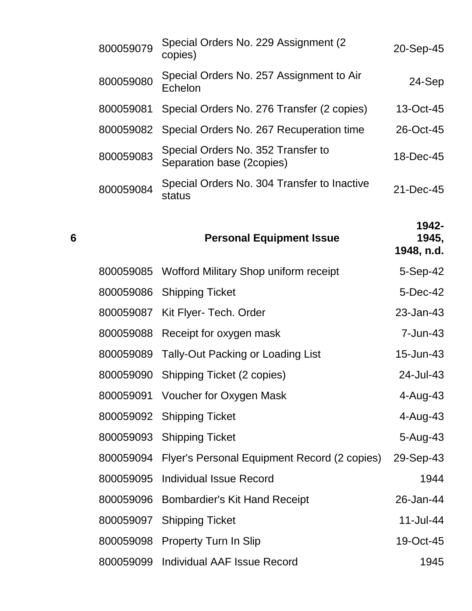|   | 800059079 | Special Orders No. 229 Assignment (2)<br>copies)                | 20-Sep-45                    |
|---|-----------|-----------------------------------------------------------------|------------------------------|
|   | 800059080 | Special Orders No. 257 Assignment to Air<br>Echelon             | 24-Sep                       |
|   | 800059081 | Special Orders No. 276 Transfer (2 copies)                      | 13-Oct-45                    |
|   | 800059082 | Special Orders No. 267 Recuperation time                        | 26-Oct-45                    |
|   | 800059083 | Special Orders No. 352 Transfer to<br>Separation base (2copies) | 18-Dec-45                    |
|   | 800059084 | Special Orders No. 304 Transfer to Inactive<br>status           | 21-Dec-45                    |
| 6 |           | <b>Personal Equipment Issue</b>                                 | 1942-<br>1945,<br>1948, n.d. |
|   | 800059085 | Wofford Military Shop uniform receipt                           | $5-Sep-42$                   |
|   | 800059086 | <b>Shipping Ticket</b>                                          | 5-Dec-42                     |
|   | 800059087 | Kit Flyer- Tech. Order                                          | 23-Jan-43                    |
|   | 800059088 | Receipt for oxygen mask                                         | 7-Jun-43                     |
|   | 800059089 | <b>Tally-Out Packing or Loading List</b>                        | 15-Jun-43                    |
|   | 800059090 | Shipping Ticket (2 copies)                                      | 24-Jul-43                    |
|   | 800059091 | Voucher for Oxygen Mask                                         | 4-Aug-43                     |
|   |           | 800059092 Shipping Ticket                                       | 4-Aug-43                     |
|   | 800059093 | <b>Shipping Ticket</b>                                          | 5-Aug-43                     |
|   | 800059094 | Flyer's Personal Equipment Record (2 copies)                    | 29-Sep-43                    |
|   | 800059095 | <b>Individual Issue Record</b>                                  | 1944                         |
|   | 800059096 | Bombardier's Kit Hand Receipt                                   | 26-Jan-44                    |
|   | 800059097 | <b>Shipping Ticket</b>                                          | 11-Jul-44                    |
|   | 800059098 | <b>Property Turn In Slip</b>                                    | 19-Oct-45                    |
|   | 800059099 | <b>Individual AAF Issue Record</b>                              | 1945                         |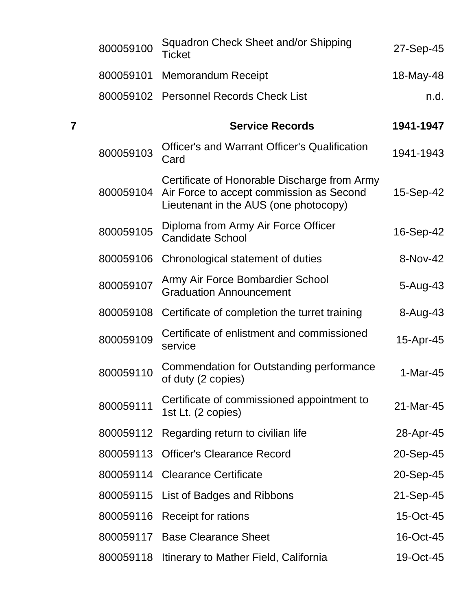|   | 800059100 | Squadron Check Sheet and/or Shipping<br><b>Ticket</b>                                                                             | 27-Sep-45  |
|---|-----------|-----------------------------------------------------------------------------------------------------------------------------------|------------|
|   | 800059101 | <b>Memorandum Receipt</b>                                                                                                         | 18-May-48  |
|   | 800059102 | <b>Personnel Records Check List</b>                                                                                               | n.d.       |
| 7 |           | <b>Service Records</b>                                                                                                            | 1941-1947  |
|   | 800059103 | <b>Officer's and Warrant Officer's Qualification</b><br>Card                                                                      | 1941-1943  |
|   | 800059104 | Certificate of Honorable Discharge from Army<br>Air Force to accept commission as Second<br>Lieutenant in the AUS (one photocopy) | 15-Sep-42  |
|   | 800059105 | Diploma from Army Air Force Officer<br><b>Candidate School</b>                                                                    | 16-Sep-42  |
|   | 800059106 | Chronological statement of duties                                                                                                 | 8-Nov-42   |
|   | 800059107 | Army Air Force Bombardier School<br><b>Graduation Announcement</b>                                                                | 5-Aug-43   |
|   | 800059108 | Certificate of completion the turret training                                                                                     | 8-Aug-43   |
|   | 800059109 | Certificate of enlistment and commissioned<br>service                                                                             | 15-Apr-45  |
|   | 800059110 | Commendation for Outstanding performance<br>of duty (2 copies)                                                                    | $1-Mar-45$ |
|   | 800059111 | Certificate of commissioned appointment to<br>1st Lt. (2 copies)                                                                  | 21-Mar-45  |
|   | 800059112 | Regarding return to civilian life                                                                                                 | 28-Apr-45  |
|   | 800059113 | <b>Officer's Clearance Record</b>                                                                                                 | 20-Sep-45  |
|   |           | 800059114 Clearance Certificate                                                                                                   | 20-Sep-45  |
|   | 800059115 | List of Badges and Ribbons                                                                                                        | 21-Sep-45  |
|   |           | 800059116 Receipt for rations                                                                                                     | 15-Oct-45  |
|   |           | 800059117 Base Clearance Sheet                                                                                                    | 16-Oct-45  |
|   | 800059118 | Itinerary to Mather Field, California                                                                                             | 19-Oct-45  |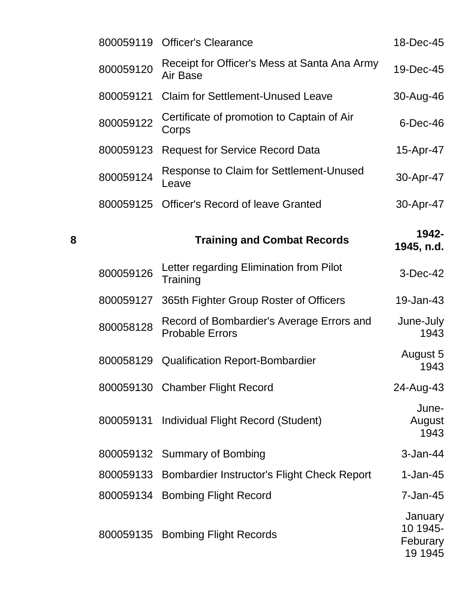|   |           | 800059119 Officer's Clearance                                       | 18-Dec-45               |
|---|-----------|---------------------------------------------------------------------|-------------------------|
|   | 800059120 | Receipt for Officer's Mess at Santa Ana Army<br>Air Base            | 19-Dec-45               |
|   | 800059121 | <b>Claim for Settlement-Unused Leave</b>                            | 30-Aug-46               |
|   | 800059122 | Certificate of promotion to Captain of Air<br>Corps                 | $6$ -Dec-46             |
|   | 800059123 | <b>Request for Service Record Data</b>                              | 15-Apr-47               |
|   | 800059124 | Response to Claim for Settlement-Unused<br>Leave                    | 30-Apr-47               |
|   |           | 800059125 Officer's Record of leave Granted                         | 30-Apr-47               |
| 8 |           | <b>Training and Combat Records</b>                                  | 1942-<br>1945, n.d.     |
|   | 800059126 | Letter regarding Elimination from Pilot<br>Training                 | $3-Dec-42$              |
|   |           |                                                                     |                         |
|   | 800059127 | 365th Fighter Group Roster of Officers                              | 19-Jan-43               |
|   | 800058128 | Record of Bombardier's Average Errors and<br><b>Probable Errors</b> | June-July<br>1943       |
|   |           | 800058129 Qualification Report-Bombardier                           | August 5<br>1943        |
|   |           | 800059130 Chamber Flight Record                                     | 24-Aug-43               |
|   | 800059131 | Individual Flight Record (Student)                                  | June-<br>August<br>1943 |

800059133 Bombardier Instructor's Flight Check Report 1-Jan-45

800059134 Bombing Flight Record 7-Jan-45

800059135 Bombing Flight Records

January 10 1945- Feburary 19 1945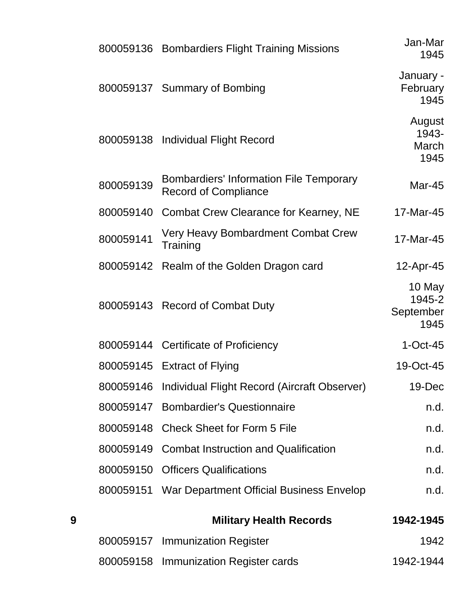|   |           | 800059136 Bombardiers Flight Training Missions                                | Jan-Mar<br>1945                       |
|---|-----------|-------------------------------------------------------------------------------|---------------------------------------|
|   |           | 800059137 Summary of Bombing                                                  | January -<br>February<br>1945         |
|   |           | 800059138 Individual Flight Record                                            | August<br>1943-<br>March<br>1945      |
|   | 800059139 | <b>Bombardiers' Information File Temporary</b><br><b>Record of Compliance</b> | <b>Mar-45</b>                         |
|   |           | 800059140 Combat Crew Clearance for Kearney, NE                               | 17-Mar-45                             |
|   | 800059141 | Very Heavy Bombardment Combat Crew<br>Training                                | 17-Mar-45                             |
|   |           | 800059142 Realm of the Golden Dragon card                                     | 12-Apr-45                             |
|   |           | 800059143 Record of Combat Duty                                               | 10 May<br>1945-2<br>September<br>1945 |
|   |           | 800059144 Certificate of Proficiency                                          | $1-Oct-45$                            |
|   |           | 800059145 Extract of Flying                                                   | 19-Oct-45                             |
|   |           | 800059146 Individual Flight Record (Aircraft Observer)                        | 19-Dec                                |
|   |           | 800059147 Bombardier's Questionnaire                                          | n.d.                                  |
|   |           | 800059148 Check Sheet for Form 5 File                                         | n.d.                                  |
|   |           | 800059149 Combat Instruction and Qualification                                | n.d.                                  |
|   | 800059150 | <b>Officers Qualifications</b>                                                | n.d.                                  |
|   |           | 800059151 War Department Official Business Envelop                            | n.d.                                  |
| 9 |           | <b>Military Health Records</b>                                                | 1942-1945                             |
|   |           | 800059157 Immunization Register                                               | 1942                                  |
|   | 800059158 | Immunization Register cards                                                   | 1942-1944                             |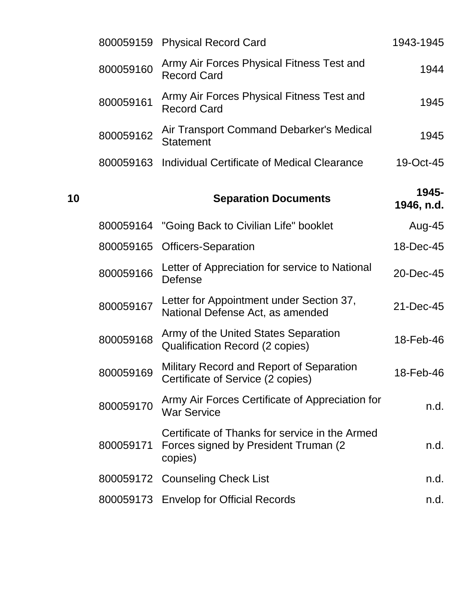|    | 800059159 | <b>Physical Record Card</b>                                                                        | 1943-1945           |
|----|-----------|----------------------------------------------------------------------------------------------------|---------------------|
|    | 800059160 | Army Air Forces Physical Fitness Test and<br><b>Record Card</b>                                    | 1944                |
|    | 800059161 | Army Air Forces Physical Fitness Test and<br><b>Record Card</b>                                    | 1945                |
|    | 800059162 | Air Transport Command Debarker's Medical<br><b>Statement</b>                                       | 1945                |
|    | 800059163 | Individual Certificate of Medical Clearance                                                        | 19-Oct-45           |
| 10 |           | <b>Separation Documents</b>                                                                        | 1945-<br>1946, n.d. |
|    | 800059164 | "Going Back to Civilian Life" booklet                                                              | Aug-45              |
|    | 800059165 | <b>Officers-Separation</b>                                                                         | 18-Dec-45           |
|    | 800059166 | Letter of Appreciation for service to National<br><b>Defense</b>                                   | 20-Dec-45           |
|    | 800059167 | Letter for Appointment under Section 37,<br>National Defense Act, as amended                       | 21-Dec-45           |
|    | 800059168 | Army of the United States Separation<br>Qualification Record (2 copies)                            | 18-Feb-46           |
|    | 800059169 | Military Record and Report of Separation<br>Certificate of Service (2 copies)                      | 18-Feb-46           |
|    | 800059170 | Army Air Forces Certificate of Appreciation for<br><b>War Service</b>                              | n.d.                |
|    | 800059171 | Certificate of Thanks for service in the Armed<br>Forces signed by President Truman (2)<br>copies) | n.d.                |
|    |           | 800059172 Counseling Check List                                                                    | n.d.                |
|    |           | 800059173 Envelop for Official Records                                                             | n.d.                |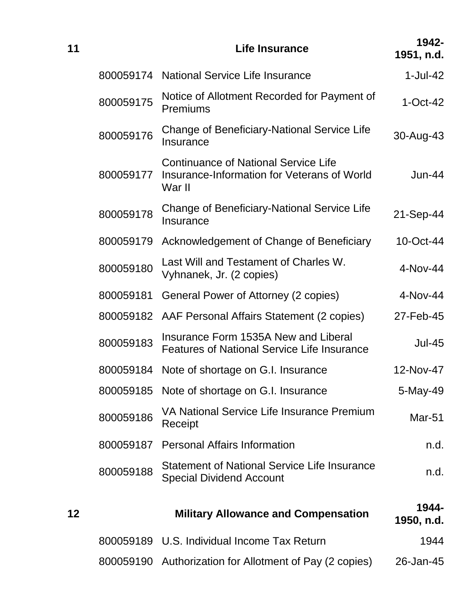| 11 |           | Life Insurance                                                                                       | 1942-<br>1951, n.d. |
|----|-----------|------------------------------------------------------------------------------------------------------|---------------------|
|    | 800059174 | National Service Life Insurance                                                                      | $1-Jul-42$          |
|    | 800059175 | Notice of Allotment Recorded for Payment of<br><b>Premiums</b>                                       | $1-Oct-42$          |
|    | 800059176 | Change of Beneficiary-National Service Life<br>Insurance                                             | 30-Aug-43           |
|    | 800059177 | <b>Continuance of National Service Life</b><br>Insurance-Information for Veterans of World<br>War II | Jun-44              |
|    | 800059178 | <b>Change of Beneficiary-National Service Life</b><br>Insurance                                      | 21-Sep-44           |
|    | 800059179 | Acknowledgement of Change of Beneficiary                                                             | 10-Oct-44           |
|    | 800059180 | Last Will and Testament of Charles W.<br>Vyhnanek, Jr. (2 copies)                                    | 4-Nov-44            |
|    | 800059181 | General Power of Attorney (2 copies)                                                                 | 4-Nov-44            |
|    | 800059182 | AAF Personal Affairs Statement (2 copies)                                                            | 27-Feb-45           |
|    | 800059183 | Insurance Form 1535A New and Liberal<br><b>Features of National Service Life Insurance</b>           | <b>Jul-45</b>       |
|    | 800059184 | Note of shortage on G.I. Insurance                                                                   | 12-Nov-47           |
|    |           | 800059185 Note of shortage on G.I. Insurance                                                         | 5-May-49            |
|    | 800059186 | VA National Service Life Insurance Premium<br>Receipt                                                | Mar-51              |
|    | 800059187 | <b>Personal Affairs Information</b>                                                                  | n.d.                |
|    | 800059188 | <b>Statement of National Service Life Insurance</b><br><b>Special Dividend Account</b>               | n.d.                |
| 12 |           | <b>Military Allowance and Compensation</b>                                                           | 1944-<br>1950, n.d. |
|    |           | 800059189 U.S. Individual Income Tax Return                                                          | 1944                |
|    |           |                                                                                                      |                     |

800059190 Authorization for Allotment of Pay (2 copies) 26-Jan-45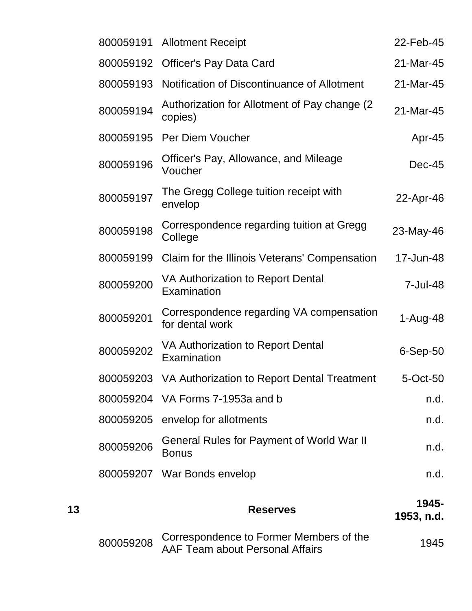|    | 800059191 | <b>Allotment Receipt</b>                                                 | 22-Feb-45           |
|----|-----------|--------------------------------------------------------------------------|---------------------|
|    | 800059192 | <b>Officer's Pay Data Card</b>                                           | 21-Mar-45           |
|    | 800059193 | Notification of Discontinuance of Allotment                              | 21-Mar-45           |
|    | 800059194 | Authorization for Allotment of Pay change (2)<br>copies)                 | 21-Mar-45           |
|    | 800059195 | <b>Per Diem Voucher</b>                                                  | Apr-45              |
|    | 800059196 | Officer's Pay, Allowance, and Mileage<br>Voucher                         | $Dec-45$            |
|    | 800059197 | The Gregg College tuition receipt with<br>envelop                        | 22-Apr-46           |
|    | 800059198 | Correspondence regarding tuition at Gregg<br>College                     | 23-May-46           |
|    | 800059199 | Claim for the Illinois Veterans' Compensation                            | 17-Jun-48           |
|    | 800059200 | VA Authorization to Report Dental<br>Examination                         | 7-Jul-48            |
|    | 800059201 | Correspondence regarding VA compensation<br>for dental work              | 1-Aug-48            |
|    | 800059202 | VA Authorization to Report Dental<br>Examination                         | $6-Sep-50$          |
|    | 800059203 | VA Authorization to Report Dental Treatment                              | 5-Oct-50            |
|    |           | 800059204 VA Forms 7-1953a and b                                         | n.d.                |
|    | 800059205 | envelop for allotments                                                   | n.d.                |
|    | 800059206 | <b>General Rules for Payment of World War II</b><br><b>Bonus</b>         | n.d.                |
|    |           | 800059207 War Bonds envelop                                              | n.d.                |
| 13 |           | <b>Reserves</b>                                                          | 1945-<br>1953, n.d. |
|    | 800059208 | Correspondence to Former Members of the<br>E Toom about Dersonal Affairs | 1945                |

Correspondence to Former Members of the 1945<br>AAF Team about Personal Affairs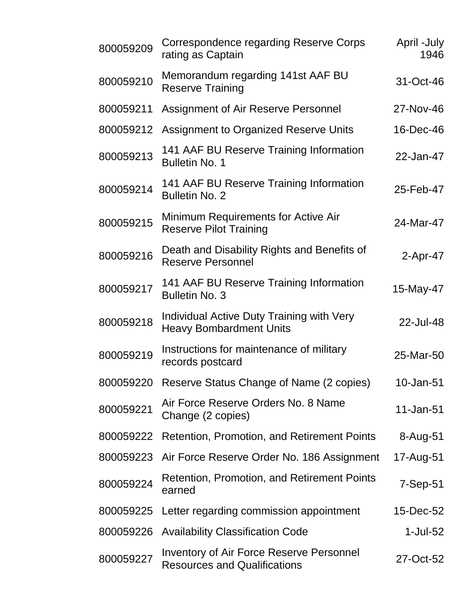| 800059209 | <b>Correspondence regarding Reserve Corps</b><br>rating as Captain                     | April -July<br>1946 |
|-----------|----------------------------------------------------------------------------------------|---------------------|
| 800059210 | Memorandum regarding 141st AAF BU<br><b>Reserve Training</b>                           | 31-Oct-46           |
| 800059211 | Assignment of Air Reserve Personnel                                                    | 27-Nov-46           |
| 800059212 | Assignment to Organized Reserve Units                                                  | 16-Dec-46           |
| 800059213 | 141 AAF BU Reserve Training Information<br><b>Bulletin No. 1</b>                       | 22-Jan-47           |
| 800059214 | 141 AAF BU Reserve Training Information<br><b>Bulletin No. 2</b>                       | 25-Feb-47           |
| 800059215 | Minimum Requirements for Active Air<br><b>Reserve Pilot Training</b>                   | 24-Mar-47           |
| 800059216 | Death and Disability Rights and Benefits of<br><b>Reserve Personnel</b>                | $2-Apr-47$          |
| 800059217 | 141 AAF BU Reserve Training Information<br><b>Bulletin No. 3</b>                       | 15-May-47           |
| 800059218 | Individual Active Duty Training with Very<br><b>Heavy Bombardment Units</b>            | 22-Jul-48           |
| 800059219 | Instructions for maintenance of military<br>records postcard                           | 25-Mar-50           |
| 800059220 | Reserve Status Change of Name (2 copies)                                               | 10-Jan-51           |
| 800059221 | Air Force Reserve Orders No. 8 Name<br>Change (2 copies)                               | 11-Jan-51           |
| 800059222 | <b>Retention, Promotion, and Retirement Points</b>                                     | 8-Aug-51            |
| 800059223 | Air Force Reserve Order No. 186 Assignment                                             | 17-Aug-51           |
| 800059224 | Retention, Promotion, and Retirement Points<br>earned                                  | $7-Sep-51$          |
| 800059225 | Letter regarding commission appointment                                                | 15-Dec-52           |
| 800059226 | <b>Availability Classification Code</b>                                                | 1-Jul-52            |
| 800059227 | <b>Inventory of Air Force Reserve Personnel</b><br><b>Resources and Qualifications</b> | 27-Oct-52           |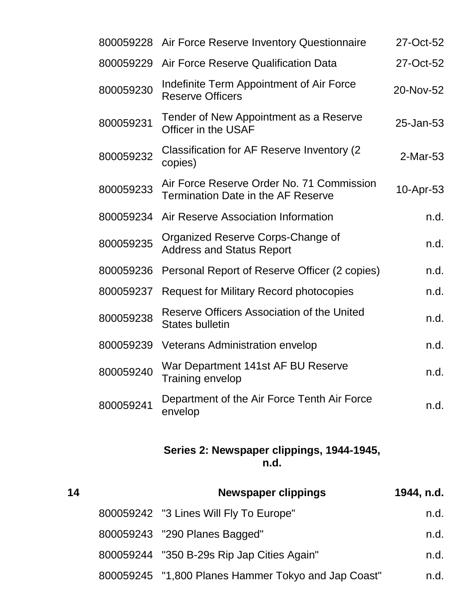|           | 800059228 Air Force Reserve Inventory Questionnaire                                    | 27-Oct-52 |
|-----------|----------------------------------------------------------------------------------------|-----------|
| 800059229 | Air Force Reserve Qualification Data                                                   | 27-Oct-52 |
| 800059230 | Indefinite Term Appointment of Air Force<br><b>Reserve Officers</b>                    | 20-Nov-52 |
| 800059231 | Tender of New Appointment as a Reserve<br>Officer in the USAF                          | 25-Jan-53 |
| 800059232 | Classification for AF Reserve Inventory (2)<br>copies)                                 | 2-Mar-53  |
| 800059233 | Air Force Reserve Order No. 71 Commission<br><b>Termination Date in the AF Reserve</b> | 10-Apr-53 |
| 800059234 | Air Reserve Association Information                                                    | n.d.      |
| 800059235 | Organized Reserve Corps-Change of<br><b>Address and Status Report</b>                  | n.d.      |
| 800059236 | Personal Report of Reserve Officer (2 copies)                                          | n.d.      |
| 800059237 | <b>Request for Military Record photocopies</b>                                         | n.d.      |
| 800059238 | Reserve Officers Association of the United<br><b>States bulletin</b>                   | n.d.      |
| 800059239 | <b>Veterans Administration envelop</b>                                                 | n.d.      |
| 800059240 | War Department 141st AF BU Reserve<br>Training envelop                                 | n.d.      |
| 800059241 | Department of the Air Force Tenth Air Force<br>envelop                                 | n.d.      |
|           |                                                                                        |           |

#### **Series 2: Newspaper clippings, 1944-1945, n.d.**

| 14 | <b>Newspaper clippings</b>                          | 1944, n.d. |
|----|-----------------------------------------------------|------------|
|    | 800059242 "3 Lines Will Fly To Europe"              | n.d.       |
|    | 800059243 "290 Planes Bagged"                       | n.d.       |
|    | 800059244 "350 B-29s Rip Jap Cities Again"          | n.d.       |
|    | 800059245 "1,800 Planes Hammer Tokyo and Jap Coast" | n.d.       |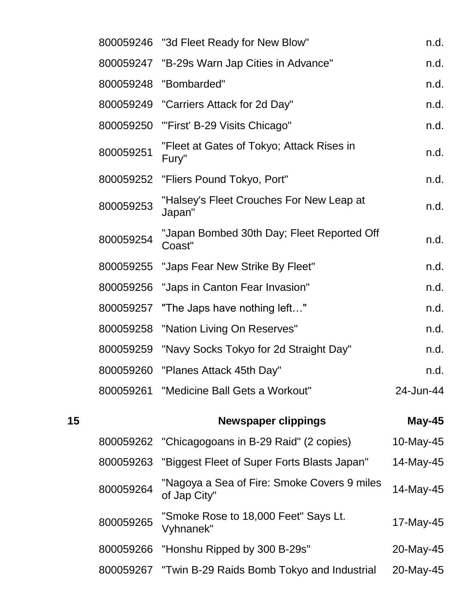|    |           | 800059246 "3d Fleet Ready for New Blow"                     | n.d.          |
|----|-----------|-------------------------------------------------------------|---------------|
|    |           | 800059247 "B-29s Warn Jap Cities in Advance"                | n.d.          |
|    |           | 800059248 "Bombarded"                                       | n.d.          |
|    |           | 800059249 "Carriers Attack for 2d Day"                      | n.d.          |
|    | 800059250 | "First' B-29 Visits Chicago"                                | n.d.          |
|    | 800059251 | "Fleet at Gates of Tokyo; Attack Rises in<br>Fury"          | n.d.          |
|    |           | 800059252 "Fliers Pound Tokyo, Port"                        | n.d.          |
|    | 800059253 | "Halsey's Fleet Crouches For New Leap at<br>Japan"          | n.d.          |
|    | 800059254 | "Japan Bombed 30th Day; Fleet Reported Off<br>Coast"        | n.d.          |
|    |           | 800059255 "Japs Fear New Strike By Fleet"                   | n.d.          |
|    |           | 800059256 "Japs in Canton Fear Invasion"                    | n.d.          |
|    |           | 800059257 "The Japs have nothing left"                      | n.d.          |
|    |           | 800059258 "Nation Living On Reserves"                       | n.d.          |
|    | 800059259 | "Navy Socks Tokyo for 2d Straight Day"                      | n.d.          |
|    | 800059260 | "Planes Attack 45th Day"                                    | n.d.          |
|    |           | 800059261 "Medicine Ball Gets a Workout"                    | 24-Jun-44     |
| 15 |           | <b>Newspaper clippings</b>                                  | <b>May-45</b> |
|    | 800059262 | "Chicagogoans in B-29 Raid" (2 copies)                      | 10-May-45     |
|    | 800059263 | "Biggest Fleet of Super Forts Blasts Japan"                 | 14-May-45     |
|    | 800059264 | "Nagoya a Sea of Fire: Smoke Covers 9 miles<br>of Jap City" | 14-May-45     |
|    | 800059265 | "Smoke Rose to 18,000 Feet" Says Lt.<br>Vyhnanek"           | 17-May-45     |
|    | 800059266 | "Honshu Ripped by 300 B-29s"                                | 20-May-45     |
|    |           | 800059267 "Twin B-29 Raids Bomb Tokyo and Industrial        | 20-May-45     |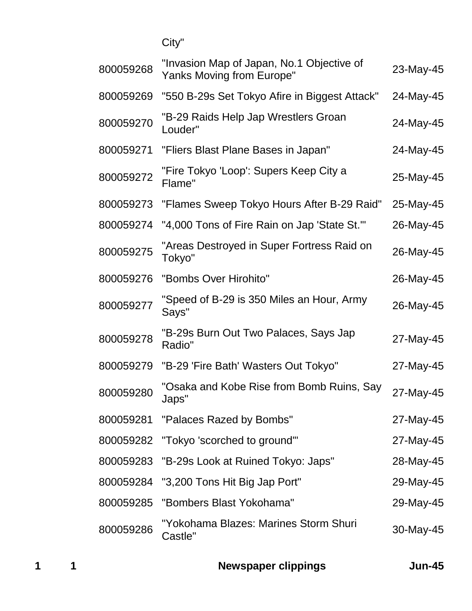City"

| "Invasion Map of Japan, No.1 Objective of<br><b>Yanks Moving from Europe"</b> | 23-May-45 |
|-------------------------------------------------------------------------------|-----------|
| "550 B-29s Set Tokyo Afire in Biggest Attack"                                 | 24-May-45 |
| "B-29 Raids Help Jap Wrestlers Groan<br>Louder"                               | 24-May-45 |
| "Fliers Blast Plane Bases in Japan"                                           | 24-May-45 |
| "Fire Tokyo 'Loop': Supers Keep City a<br>Flame"                              | 25-May-45 |
| "Flames Sweep Tokyo Hours After B-29 Raid"                                    | 25-May-45 |
| "4,000 Tons of Fire Rain on Jap 'State St."                                   | 26-May-45 |
| "Areas Destroyed in Super Fortress Raid on<br>Tokyo"                          | 26-May-45 |
| "Bombs Over Hirohito"                                                         | 26-May-45 |
| "Speed of B-29 is 350 Miles an Hour, Army<br>Says"                            | 26-May-45 |
| "B-29s Burn Out Two Palaces, Says Jap<br>Radio"                               | 27-May-45 |
| "B-29 'Fire Bath' Wasters Out Tokyo"                                          | 27-May-45 |
| 'Osaka and Kobe Rise from Bomb Ruins, Say<br>Japs"                            | 27-May-45 |
| 800059281 "Palaces Razed by Bombs"                                            | 27-May-45 |
| 800059282<br>"Tokyo 'scorched to ground"                                      | 27-May-45 |
| "B-29s Look at Ruined Tokyo: Japs"                                            | 28-May-45 |
| 800059284<br>"3,200 Tons Hit Big Jap Port"                                    | 29-May-45 |
| "Bombers Blast Yokohama"                                                      | 29-May-45 |
| "Yokohama Blazes: Marines Storm Shuri<br>Castle"                              | 30-May-45 |
|                                                                               |           |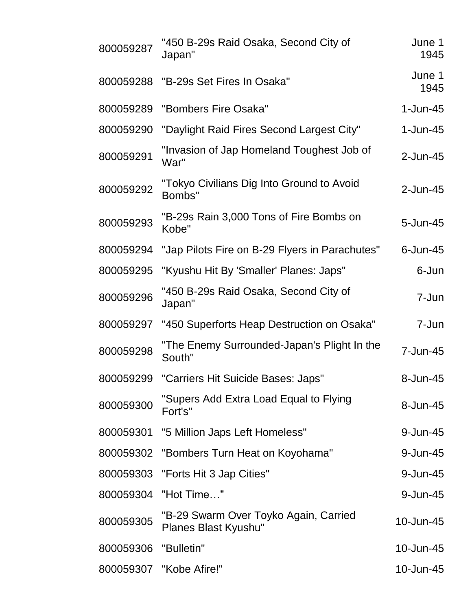| 800059287 | "450 B-29s Raid Osaka, Second City of<br>Japan"               | June 1<br>1945 |
|-----------|---------------------------------------------------------------|----------------|
| 800059288 | "B-29s Set Fires In Osaka"                                    | June 1<br>1945 |
| 800059289 | "Bombers Fire Osaka"                                          | $1$ -Jun-45    |
| 800059290 | "Daylight Raid Fires Second Largest City"                     | $1$ -Jun-45    |
| 800059291 | "Invasion of Jap Homeland Toughest Job of<br>War"             | 2-Jun-45       |
| 800059292 | "Tokyo Civilians Dig Into Ground to Avoid<br>Bombs"           | $2$ -Jun-45    |
| 800059293 | "B-29s Rain 3,000 Tons of Fire Bombs on<br>Kobe"              | 5-Jun-45       |
| 800059294 | "Jap Pilots Fire on B-29 Flyers in Parachutes"                | $6$ -Jun-45    |
| 800059295 | "Kyushu Hit By 'Smaller' Planes: Japs"                        | 6-Jun          |
| 800059296 | "450 B-29s Raid Osaka, Second City of<br>Japan"               | 7-Jun          |
| 800059297 | "450 Superforts Heap Destruction on Osaka"                    | 7-Jun          |
| 800059298 | "The Enemy Surrounded-Japan's Plight In the<br>South"         | 7-Jun-45       |
| 800059299 | "Carriers Hit Suicide Bases: Japs"                            | 8-Jun-45       |
| 800059300 | "Supers Add Extra Load Equal to Flying<br>Fort's"             | 8-Jun-45       |
| 800059301 | "5 Million Japs Left Homeless"                                | 9-Jun-45       |
| 800059302 | "Bombers Turn Heat on Koyohama"                               | 9-Jun-45       |
| 800059303 | "Forts Hit 3 Jap Cities"                                      | 9-Jun-45       |
| 800059304 | "Hot Time"                                                    | 9-Jun-45       |
| 800059305 | "B-29 Swarm Over Toyko Again, Carried<br>Planes Blast Kyushu" | 10-Jun-45      |
| 800059306 | "Bulletin"                                                    | 10-Jun-45      |
|           | 800059307 "Kobe Afire!"                                       | 10-Jun-45      |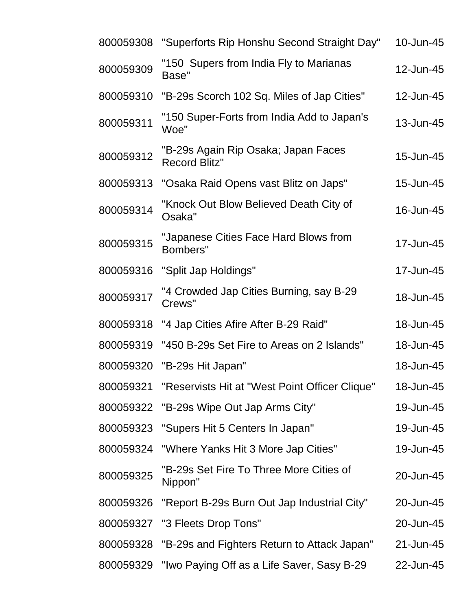| 800059308 | "Superforts Rip Honshu Second Straight Day"                 | 10-Jun-45 |
|-----------|-------------------------------------------------------------|-----------|
| 800059309 | "150 Supers from India Fly to Marianas<br>Base"             | 12-Jun-45 |
| 800059310 | "B-29s Scorch 102 Sq. Miles of Jap Cities"                  | 12-Jun-45 |
| 800059311 | "150 Super-Forts from India Add to Japan's<br>Woe"          | 13-Jun-45 |
| 800059312 | "B-29s Again Rip Osaka; Japan Faces<br><b>Record Blitz"</b> | 15-Jun-45 |
| 800059313 | "Osaka Raid Opens vast Blitz on Japs"                       | 15-Jun-45 |
| 800059314 | "Knock Out Blow Believed Death City of<br>Osaka"            | 16-Jun-45 |
| 800059315 | "Japanese Cities Face Hard Blows from<br>Bombers"           | 17-Jun-45 |
| 800059316 | "Split Jap Holdings"                                        | 17-Jun-45 |
| 800059317 | "4 Crowded Jap Cities Burning, say B-29<br>Crews"           | 18-Jun-45 |
| 800059318 | "4 Jap Cities Afire After B-29 Raid"                        | 18-Jun-45 |
| 800059319 | "450 B-29s Set Fire to Areas on 2 Islands"                  | 18-Jun-45 |
| 800059320 | "B-29s Hit Japan"                                           | 18-Jun-45 |
| 800059321 | "Reservists Hit at "West Point Officer Clique"              | 18-Jun-45 |
|           | 800059322 "B-29s Wipe Out Jap Arms City"                    | 19-Jun-45 |
| 800059323 | "Supers Hit 5 Centers In Japan"                             | 19-Jun-45 |
| 800059324 | "Where Yanks Hit 3 More Jap Cities"                         | 19-Jun-45 |
| 800059325 | "B-29s Set Fire To Three More Cities of<br>Nippon"          | 20-Jun-45 |
| 800059326 | "Report B-29s Burn Out Jap Industrial City"                 | 20-Jun-45 |
| 800059327 | "3 Fleets Drop Tons"                                        | 20-Jun-45 |
| 800059328 | "B-29s and Fighters Return to Attack Japan"                 | 21-Jun-45 |
| 800059329 | "Iwo Paying Off as a Life Saver, Sasy B-29                  | 22-Jun-45 |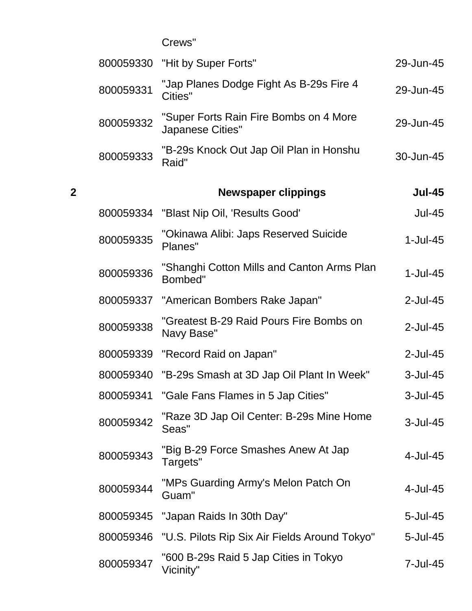Crews"

|   | 800059330 | "Hit by Super Forts"                                       | 29-Jun-45     |
|---|-----------|------------------------------------------------------------|---------------|
|   | 800059331 | "Jap Planes Dodge Fight As B-29s Fire 4<br>Cities"         | 29-Jun-45     |
|   | 800059332 | "Super Forts Rain Fire Bombs on 4 More<br>Japanese Cities" | 29-Jun-45     |
|   | 800059333 | "B-29s Knock Out Jap Oil Plan in Honshu<br>Raid"           | 30-Jun-45     |
| 2 |           | <b>Newspaper clippings</b>                                 | <b>Jul-45</b> |
|   | 800059334 | "Blast Nip Oil, 'Results Good'                             | <b>Jul-45</b> |
|   | 800059335 | "Okinawa Alibi: Japs Reserved Suicide<br>Planes"           | $1-Jul-45$    |
|   | 800059336 | "Shanghi Cotton Mills and Canton Arms Plan<br>Bombed"      | $1-Jul-45$    |
|   | 800059337 | "American Bombers Rake Japan"                              | 2-Jul-45      |
|   | 800059338 | "Greatest B-29 Raid Pours Fire Bombs on<br>Navy Base"      | 2-Jul-45      |
|   | 800059339 | "Record Raid on Japan"                                     | $2$ -Jul-45   |
|   | 800059340 | "B-29s Smash at 3D Jap Oil Plant In Week"                  | 3-Jul-45      |
|   | 800059341 | "Gale Fans Flames in 5 Jap Cities"                         | 3-Jul-45      |
|   | 800059342 | "Raze 3D Jap Oil Center: B-29s Mine Home<br>Seas"          | 3-Jul-45      |
|   | 800059343 | "Big B-29 Force Smashes Anew At Jap<br>Targets"            | 4-Jul-45      |
|   | 800059344 | "MPs Guarding Army's Melon Patch On<br>Guam"               | 4-Jul-45      |
|   | 800059345 | "Japan Raids In 30th Day"                                  | 5-Jul-45      |
|   | 800059346 | "U.S. Pilots Rip Six Air Fields Around Tokyo"              | 5-Jul-45      |
|   | 800059347 | "600 B-29s Raid 5 Jap Cities in Tokyo<br>Vicinity"         | 7-Jul-45      |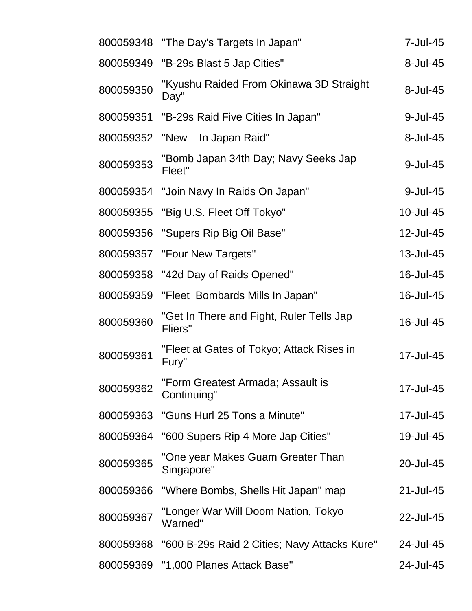| 800059348 | "The Day's Targets In Japan"                        | 7-Jul-45  |
|-----------|-----------------------------------------------------|-----------|
| 800059349 | "B-29s Blast 5 Jap Cities"                          | 8-Jul-45  |
| 800059350 | "Kyushu Raided From Okinawa 3D Straight<br>Day"     | 8-Jul-45  |
| 800059351 | "B-29s Raid Five Cities In Japan"                   | 9-Jul-45  |
| 800059352 | "New<br>In Japan Raid"                              | 8-Jul-45  |
| 800059353 | "Bomb Japan 34th Day; Navy Seeks Jap<br>Fleet"      | 9-Jul-45  |
| 800059354 | "Join Navy In Raids On Japan"                       | 9-Jul-45  |
| 800059355 | "Big U.S. Fleet Off Tokyo"                          | 10-Jul-45 |
| 800059356 | "Supers Rip Big Oil Base"                           | 12-Jul-45 |
| 800059357 | "Four New Targets"                                  | 13-Jul-45 |
| 800059358 | "42d Day of Raids Opened"                           | 16-Jul-45 |
| 800059359 | "Fleet Bombards Mills In Japan"                     | 16-Jul-45 |
| 800059360 | "Get In There and Fight, Ruler Tells Jap<br>Fliers" | 16-Jul-45 |
| 800059361 | "Fleet at Gates of Tokyo; Attack Rises in<br>Fury"  | 17-Jul-45 |
| 800059362 | "Form Greatest Armada; Assault is<br>Continuing"    | 17-Jul-45 |
| 800059363 | "Guns Hurl 25 Tons a Minute"                        | 17-Jul-45 |
| 800059364 | "600 Supers Rip 4 More Jap Cities"                  | 19-Jul-45 |
| 800059365 | "One year Makes Guam Greater Than<br>Singapore"     | 20-Jul-45 |
| 800059366 | "Where Bombs, Shells Hit Japan" map                 | 21-Jul-45 |
| 800059367 | "Longer War Will Doom Nation, Tokyo<br>Warned"      | 22-Jul-45 |
| 800059368 | "600 B-29s Raid 2 Cities; Navy Attacks Kure"        | 24-Jul-45 |
| 800059369 | "1,000 Planes Attack Base"                          | 24-Jul-45 |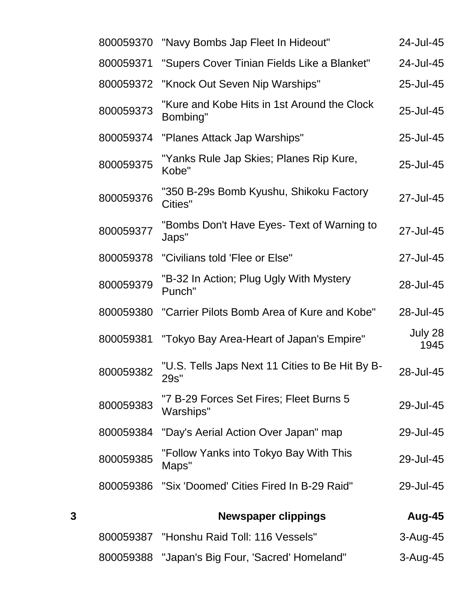|   | 800059370 | "Navy Bombs Jap Fleet In Hideout"                       | 24-Jul-45       |
|---|-----------|---------------------------------------------------------|-----------------|
|   | 800059371 | "Supers Cover Tinian Fields Like a Blanket"             | 24-Jul-45       |
|   | 800059372 | "Knock Out Seven Nip Warships"                          | 25-Jul-45       |
|   | 800059373 | "Kure and Kobe Hits in 1st Around the Clock<br>Bombing" | 25-Jul-45       |
|   | 800059374 | "Planes Attack Jap Warships"                            | 25-Jul-45       |
|   | 800059375 | "Yanks Rule Jap Skies; Planes Rip Kure,<br>Kobe"        | 25-Jul-45       |
|   | 800059376 | "350 B-29s Bomb Kyushu, Shikoku Factory<br>Cities"      | 27-Jul-45       |
|   | 800059377 | "Bombs Don't Have Eyes- Text of Warning to<br>Japs"     | 27-Jul-45       |
|   | 800059378 | "Civilians told 'Flee or Else"                          | 27-Jul-45       |
|   | 800059379 | "B-32 In Action; Plug Ugly With Mystery<br>Punch"       | 28-Jul-45       |
|   | 800059380 | "Carrier Pilots Bomb Area of Kure and Kobe"             | 28-Jul-45       |
|   | 800059381 | "Tokyo Bay Area-Heart of Japan's Empire"                | July 28<br>1945 |
|   | 800059382 | "U.S. Tells Japs Next 11 Cities to Be Hit By B-<br>29s" | 28-Jul-45       |
|   | 800059383 | "7 B-29 Forces Set Fires; Fleet Burns 5<br>Warships"    | 29-Jul-45       |
|   | 800059384 | "Day's Aerial Action Over Japan" map                    | 29-Jul-45       |
|   | 800059385 | "Follow Yanks into Tokyo Bay With This<br>Maps"         | 29-Jul-45       |
|   | 800059386 | "Six 'Doomed' Cities Fired In B-29 Raid"                | 29-Jul-45       |
| 3 |           | <b>Newspaper clippings</b>                              | Aug-45          |
|   |           | 800059387 "Honshu Raid Toll: 116 Vessels"               | 3-Aug-45        |
|   | 800059388 | "Japan's Big Four, 'Sacred' Homeland"                   | 3-Aug-45        |
|   |           |                                                         |                 |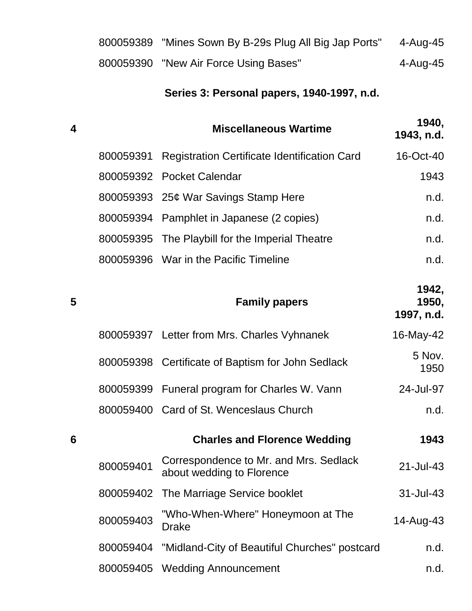| 800059389 "Mines Sown By B-29s Plug All Big Jap Ports" | 4-Aug-45 |
|--------------------------------------------------------|----------|
| 800059390 "New Air Force Using Bases"                  | 4-Aug-45 |

# **Series 3: Personal papers, 1940-1997, n.d.**

| 4 |           | <b>Miscellaneous Wartime</b>                                                  | 1940,<br>1943, n.d.          |
|---|-----------|-------------------------------------------------------------------------------|------------------------------|
|   | 800059391 | <b>Registration Certificate Identification Card</b>                           | 16-Oct-40                    |
|   |           | 800059392 Pocket Calendar                                                     | 1943                         |
|   |           | 800059393 25¢ War Savings Stamp Here                                          | n.d.                         |
|   | 800059394 | Pamphlet in Japanese (2 copies)                                               | n.d.                         |
|   | 800059395 | The Playbill for the Imperial Theatre                                         | n.d.                         |
|   |           | 800059396 War in the Pacific Timeline                                         | n.d.                         |
| 5 |           | <b>Family papers</b>                                                          | 1942,<br>1950,<br>1997, n.d. |
|   |           | 800059397 Letter from Mrs. Charles Vyhnanek                                   | 16-May-42                    |
|   |           | 800059398 Certificate of Baptism for John Sedlack                             | 5 Nov.<br>1950               |
|   |           | 800059399 Funeral program for Charles W. Vann                                 | 24-Jul-97                    |
|   |           | 800059400 Card of St. Wenceslaus Church                                       | n.d.                         |
| 6 |           | <b>Charles and Florence Wedding</b>                                           | 1943                         |
|   |           | 800059401 Correspondence to Mr. and Mrs. Sedlack<br>about wedding to Florence | 21-Jul-43                    |
|   | 800059402 | The Marriage Service booklet                                                  | 31-Jul-43                    |
|   | 800059403 | "Who-When-Where" Honeymoon at The<br><b>Drake</b>                             | 14-Aug-43                    |
|   | 800059404 | "Midland-City of Beautiful Churches" postcard                                 | n.d.                         |
|   | 800059405 | <b>Wedding Announcement</b>                                                   | n.d.                         |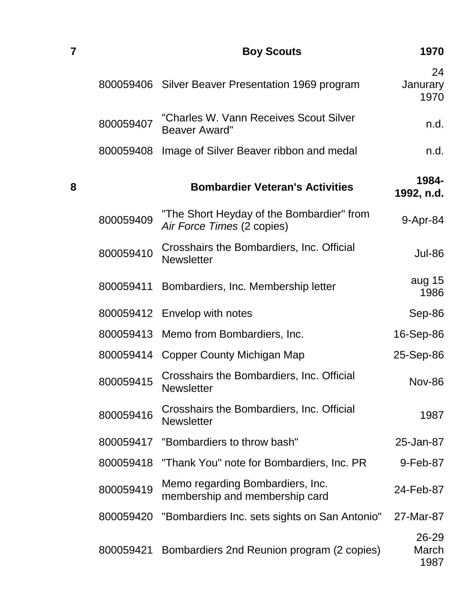| 7 |           | 1970                                                                    |                        |
|---|-----------|-------------------------------------------------------------------------|------------------------|
|   |           | 800059406 Silver Beaver Presentation 1969 program                       | 24<br>Janurary<br>1970 |
|   | 800059407 | "Charles W. Vann Receives Scout Silver<br><b>Beaver Award"</b>          | n.d.                   |
|   | 800059408 | Image of Silver Beaver ribbon and medal                                 | n.d.                   |
| 8 |           | <b>Bombardier Veteran's Activities</b>                                  | 1984-<br>1992, n.d.    |
|   | 800059409 | "The Short Heyday of the Bombardier" from<br>Air Force Times (2 copies) | 9-Apr-84               |
|   | 800059410 | Crosshairs the Bombardiers, Inc. Official<br><b>Newsletter</b>          | <b>Jul-86</b>          |
|   | 800059411 | Bombardiers, Inc. Membership letter                                     | aug 15<br>1986         |
|   | 800059412 | Envelop with notes                                                      | Sep-86                 |
|   | 800059413 | Memo from Bombardiers, Inc.                                             | 16-Sep-86              |
|   |           | 800059414 Copper County Michigan Map                                    | 25-Sep-86              |
|   | 800059415 | Crosshairs the Bombardiers, Inc. Official<br><b>Newsletter</b>          | <b>Nov-86</b>          |
|   | 800059416 | Crosshairs the Bombardiers, Inc. Official<br><b>Newsletter</b>          | 1987                   |
|   | 800059417 | "Bombardiers to throw bash"                                             | 25-Jan-87              |
|   | 800059418 | "Thank You" note for Bombardiers, Inc. PR                               | 9-Feb-87               |
|   | 800059419 | Memo regarding Bombardiers, Inc.<br>membership and membership card      | 24-Feb-87              |
|   | 800059420 | "Bombardiers Inc. sets sights on San Antonio"                           | 27-Mar-87              |
|   | 800059421 | Bombardiers 2nd Reunion program (2 copies)                              | 26-29<br>March<br>1987 |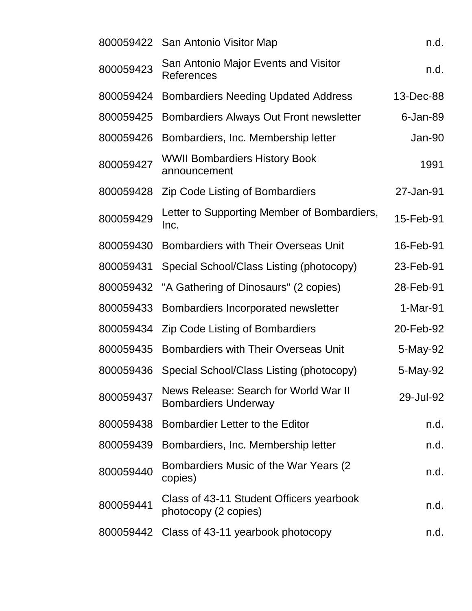|           | 800059422 San Antonio Visitor Map                                    | n.d.        |
|-----------|----------------------------------------------------------------------|-------------|
| 800059423 | San Antonio Major Events and Visitor<br>References                   | n.d.        |
| 800059424 | <b>Bombardiers Needing Updated Address</b>                           | 13-Dec-88   |
| 800059425 | Bombardiers Always Out Front newsletter                              | $6$ -Jan-89 |
| 800059426 | Bombardiers, Inc. Membership letter                                  | Jan-90      |
| 800059427 | <b>WWII Bombardiers History Book</b><br>announcement                 | 1991        |
| 800059428 | <b>Zip Code Listing of Bombardiers</b>                               | 27-Jan-91   |
| 800059429 | Letter to Supporting Member of Bombardiers,<br>Inc.                  | 15-Feb-91   |
| 800059430 | <b>Bombardiers with Their Overseas Unit</b>                          | 16-Feb-91   |
| 800059431 | Special School/Class Listing (photocopy)                             | 23-Feb-91   |
| 800059432 | "A Gathering of Dinosaurs" (2 copies)                                | 28-Feb-91   |
| 800059433 | Bombardiers Incorporated newsletter                                  | 1-Mar-91    |
| 800059434 | <b>Zip Code Listing of Bombardiers</b>                               | 20-Feb-92   |
| 800059435 | <b>Bombardiers with Their Overseas Unit</b>                          | 5-May-92    |
| 800059436 | Special School/Class Listing (photocopy)                             | 5-May-92    |
| 800059437 | News Release: Search for World War II<br><b>Bombardiers Underway</b> | 29-Jul-92   |
| 800059438 | Bombardier Letter to the Editor                                      | n.d.        |
| 800059439 | Bombardiers, Inc. Membership letter                                  | n.d.        |
| 800059440 | Bombardiers Music of the War Years (2)<br>copies)                    | n.d.        |
| 800059441 | Class of 43-11 Student Officers yearbook<br>photocopy (2 copies)     | n.d.        |
|           | 800059442 Class of 43-11 yearbook photocopy                          | n.d.        |
|           |                                                                      |             |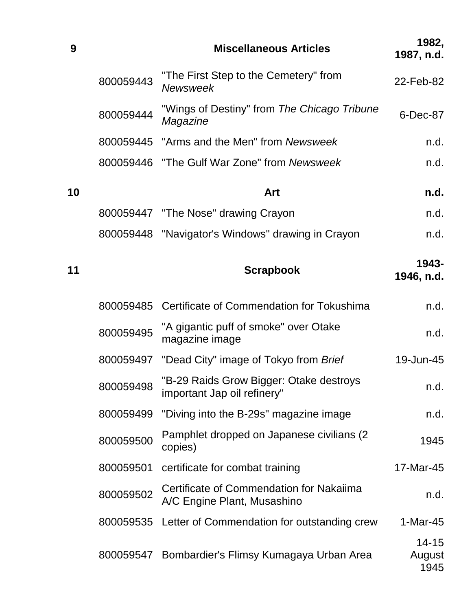| 9  |           | <b>Miscellaneous Articles</b>                                           | 1982,<br>1987, n.d.         |
|----|-----------|-------------------------------------------------------------------------|-----------------------------|
|    | 800059443 | "The First Step to the Cemetery" from<br>Newsweek                       | 22-Feb-82                   |
|    | 800059444 | "Wings of Destiny" from The Chicago Tribune<br>Magazine                 | 6-Dec-87                    |
|    |           | 800059445 "Arms and the Men" from Newsweek                              | n.d.                        |
|    |           | 800059446 "The Gulf War Zone" from Newsweek                             | n.d.                        |
| 10 |           | Art                                                                     | n.d.                        |
|    |           | 800059447 "The Nose" drawing Crayon                                     | n.d.                        |
|    |           | 800059448 "Navigator's Windows" drawing in Crayon                       | n.d.                        |
| 11 |           | <b>Scrapbook</b>                                                        | 1943-<br>1946, n.d.         |
|    |           | 800059485 Certificate of Commendation for Tokushima                     | n.d.                        |
|    | 800059495 | "A gigantic puff of smoke" over Otake<br>magazine image                 | n.d.                        |
|    | 800059497 | "Dead City" image of Tokyo from Brief                                   | 19-Jun-45                   |
|    | 800059498 | "B-29 Raids Grow Bigger: Otake destroys<br>important Jap oil refinery"  | n.d.                        |
|    | 800059499 | "Diving into the B-29s" magazine image                                  | n.d.                        |
|    | 800059500 | Pamphlet dropped on Japanese civilians (2)<br>copies)                   | 1945                        |
|    | 800059501 | certificate for combat training                                         | 17-Mar-45                   |
|    | 800059502 | Certificate of Commendation for Nakaiima<br>A/C Engine Plant, Musashino | n.d.                        |
|    | 800059535 | Letter of Commendation for outstanding crew                             | $1-Mar-45$                  |
|    |           | 800059547 Bombardier's Flimsy Kumagaya Urban Area                       | $14 - 15$<br>August<br>1945 |